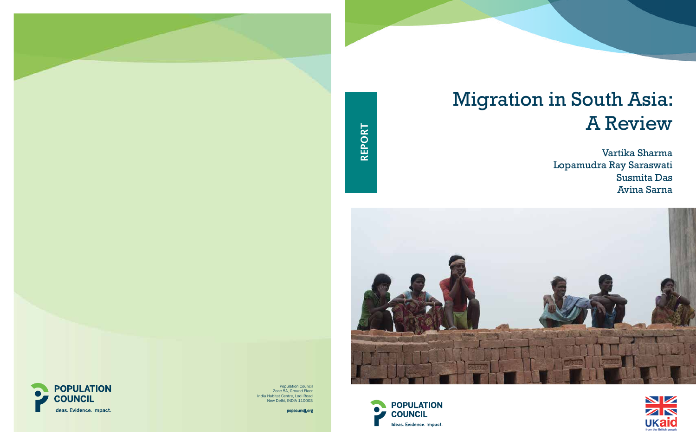





**COUNCIL** 

Ideas. Evidence. Impact.

India Habitat Centre, Lodi Road New Delhi, INDIA 110003

popcouncil.org

report

# Migration in South Asia: A Review

Vartika Sharma Lopamudra Ray Saraswati Susmita Das Avina Sarna

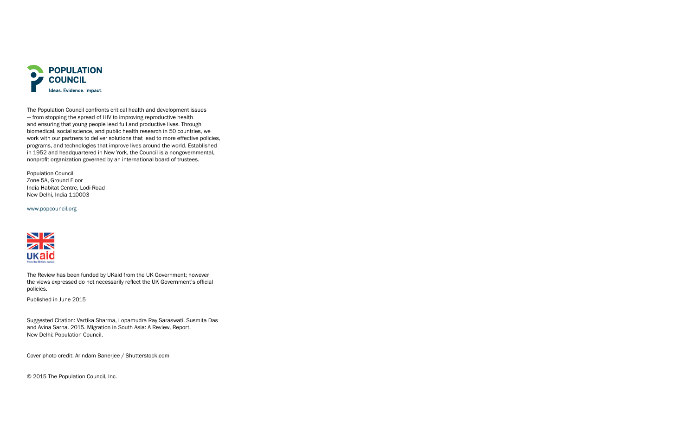

The Population Council confronts critical health and development issues — from stopping the spread of HIV to improving reproductive health and ensuring that young people lead full and productive lives. Through biomedical, social science, and public health research in 50 countries, we work with our partners to deliver solutions that lead to more effective policies, programs, and technologies that improve lives around the world. Established in 1952 and headquartered in New York, the Council is a nongovernmental, nonprofit organization governed by an international board of trustees.

Population Council Zone 5A, Ground Floor India Habitat Centre, Lodi Road New Delhi, India 110003

www.popcouncil.org



The Review has been funded by UKaid from the UK Government; however the views expressed do not necessarily reflect the UK Government's official policies.

Published in June 2015

Suggested Citation: Vartika Sharma, Lopamudra Ray Saraswati, Susmita Das and Avina Sarna. 2015. Migration in South Asia: A Review, Report. New Delhi: Population Council.

Cover photo credit: Arindam Banerjee / Shutterstock.com

© 2015 The Population Council, Inc.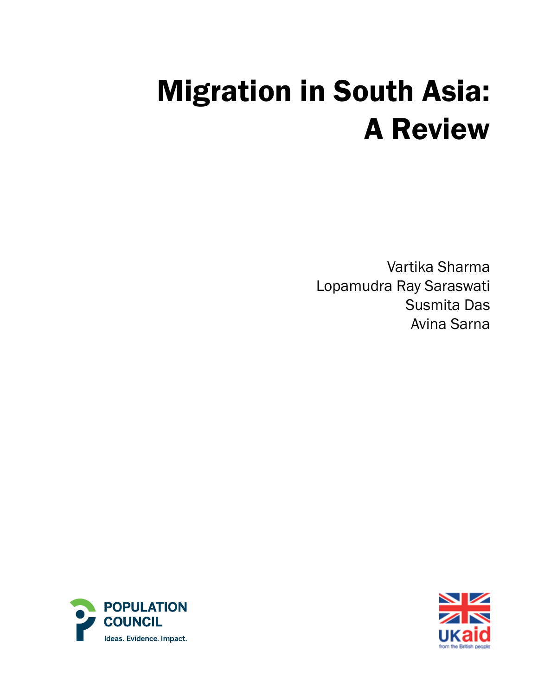# Migration in South Asia: A Review

Vartika Sharma Lopamudra Ray Saraswati Susmita Das Avina Sarna



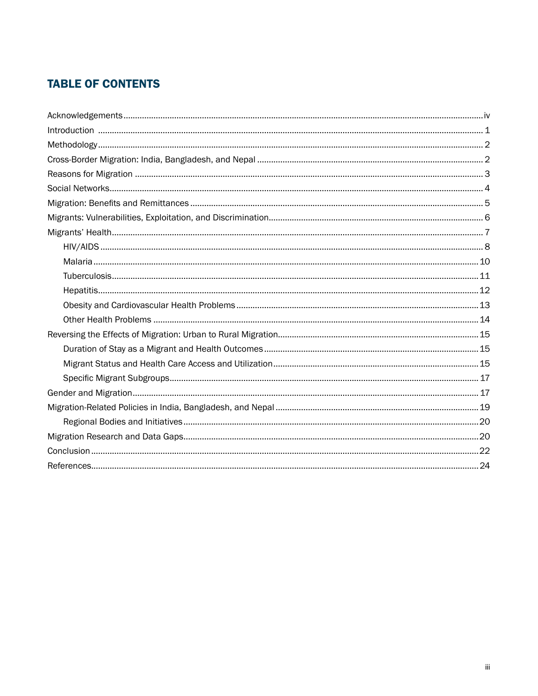# **TABLE OF CONTENTS**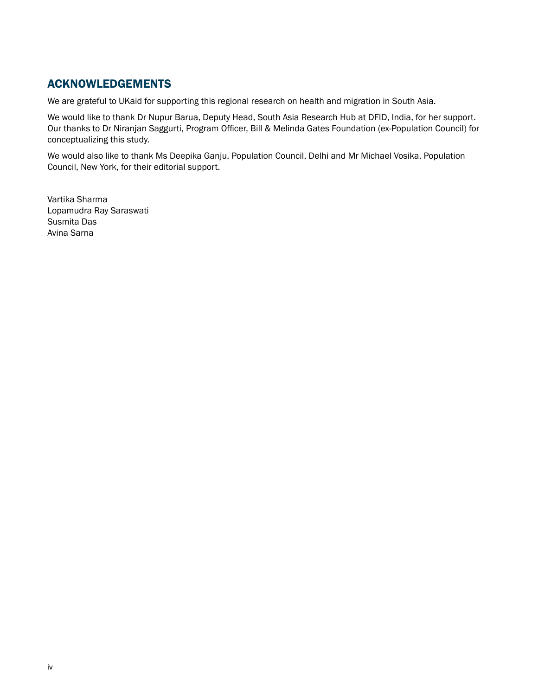# Acknowledgements

We are grateful to UKaid for supporting this regional research on health and migration in South Asia.

We would like to thank Dr Nupur Barua, Deputy Head, South Asia Research Hub at DFID, India, for her support. Our thanks to Dr Niranjan Saggurti, Program Officer, Bill & Melinda Gates Foundation (ex-Population Council) for conceptualizing this study.

We would also like to thank Ms Deepika Ganju, Population Council, Delhi and Mr Michael Vosika, Population Council, New York, for their editorial support.

Vartika Sharma Lopamudra Ray Saraswati Susmita Das Avina Sarna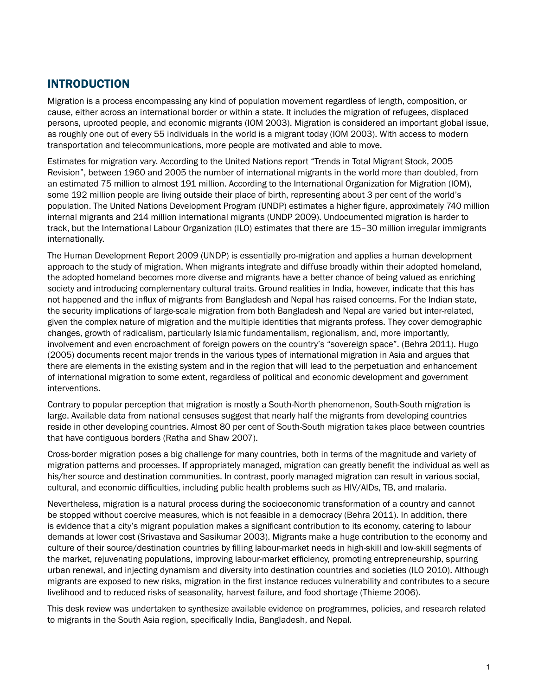# **INTRODUCTION**

Migration is a process encompassing any kind of population movement regardless of length, composition, or cause, either across an international border or within a state. It includes the migration of refugees, displaced persons, uprooted people, and economic migrants (IOM 2003). Migration is considered an important global issue, as roughly one out of every 55 individuals in the world is a migrant today (IOM 2003). With access to modern transportation and telecommunications, more people are motivated and able to move.

Estimates for migration vary. According to the United Nations report "Trends in Total Migrant Stock, 2005 Revision", between 1960 and 2005 the number of international migrants in the world more than doubled, from an estimated 75 million to almost 191 million. According to the International Organization for Migration (IOM), some 192 million people are living outside their place of birth, representing about 3 per cent of the world's population. The United Nations Development Program (UNDP) estimates a higher figure, approximately 740 million internal migrants and 214 million international migrants (UNDP 2009). Undocumented migration is harder to track, but the International Labour Organization (ILO) estimates that there are 15–30 million irregular immigrants internationally.

The Human Development Report 2009 (UNDP) is essentially pro-migration and applies a human development approach to the study of migration. When migrants integrate and diffuse broadly within their adopted homeland, the adopted homeland becomes more diverse and migrants have a better chance of being valued as enriching society and introducing complementary cultural traits. Ground realities in India, however, indicate that this has not happened and the influx of migrants from Bangladesh and Nepal has raised concerns. For the Indian state, the security implications of large-scale migration from both Bangladesh and Nepal are varied but inter-related, given the complex nature of migration and the multiple identities that migrants profess. They cover demographic changes, growth of radicalism, particularly Islamic fundamentalism, regionalism, and, more importantly, involvement and even encroachment of foreign powers on the country's "sovereign space". (Behra 2011). Hugo (2005) documents recent major trends in the various types of international migration in Asia and argues that there are elements in the existing system and in the region that will lead to the perpetuation and enhancement of international migration to some extent, regardless of political and economic development and government interventions.

Contrary to popular perception that migration is mostly a South-North phenomenon, South-South migration is large. Available data from national censuses suggest that nearly half the migrants from developing countries reside in other developing countries. Almost 80 per cent of South-South migration takes place between countries that have contiguous borders (Ratha and Shaw 2007).

Cross-border migration poses a big challenge for many countries, both in terms of the magnitude and variety of migration patterns and processes. If appropriately managed, migration can greatly benefit the individual as well as his/her source and destination communities. In contrast, poorly managed migration can result in various social, cultural, and economic difficulties, including public health problems such as HIV/AIDs, TB, and malaria.

Nevertheless, migration is a natural process during the socioeconomic transformation of a country and cannot be stopped without coercive measures, which is not feasible in a democracy (Behra 2011). In addition, there is evidence that a city's migrant population makes a significant contribution to its economy, catering to labour demands at lower cost (Srivastava and Sasikumar 2003). Migrants make a huge contribution to the economy and culture of their source/destination countries by filling labour-market needs in high-skill and low-skill segments of the market, rejuvenating populations, improving labour-market efficiency, promoting entrepreneurship, spurring urban renewal, and injecting dynamism and diversity into destination countries and societies (ILO 2010). Although migrants are exposed to new risks, migration in the first instance reduces vulnerability and contributes to a secure livelihood and to reduced risks of seasonality, harvest failure, and food shortage (Thieme 2006).

This desk review was undertaken to synthesize available evidence on programmes, policies, and research related to migrants in the South Asia region, specifically India, Bangladesh, and Nepal.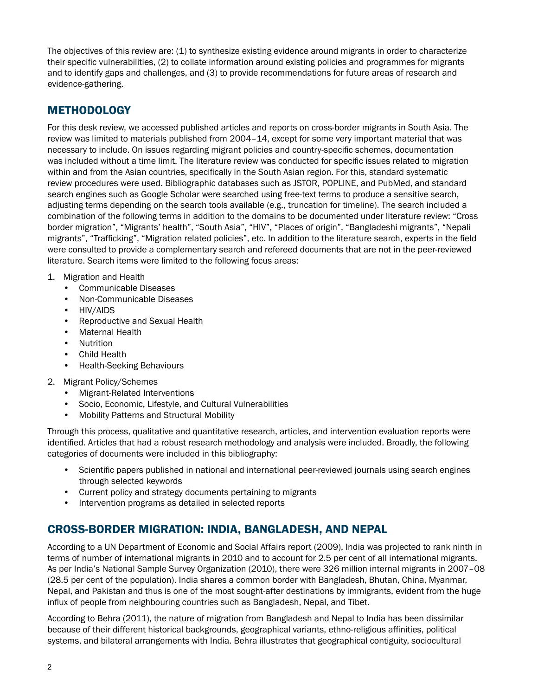The objectives of this review are: (1) to synthesize existing evidence around migrants in order to characterize their specific vulnerabilities, (2) to collate information around existing policies and programmes for migrants and to identify gaps and challenges, and (3) to provide recommendations for future areas of research and evidence-gathering.

# **METHODOLOGY**

For this desk review, we accessed published articles and reports on cross-border migrants in South Asia. The review was limited to materials published from 2004–14, except for some very important material that was necessary to include. On issues regarding migrant policies and country-specific schemes, documentation was included without a time limit. The literature review was conducted for specific issues related to migration within and from the Asian countries, specifically in the South Asian region. For this, standard systematic review procedures were used. Bibliographic databases such as JSTOR, POPLINE, and PubMed, and standard search engines such as Google Scholar were searched using free-text terms to produce a sensitive search, adjusting terms depending on the search tools available (e.g., truncation for timeline). The search included a combination of the following terms in addition to the domains to be documented under literature review: "Cross border migration", "Migrants' health", "South Asia", "HIV", "Places of origin", "Bangladeshi migrants", "Nepali migrants", "Trafficking", "Migration related policies", etc. In addition to the literature search, experts in the field were consulted to provide a complementary search and refereed documents that are not in the peer-reviewed literature. Search items were limited to the following focus areas:

- 1. Migration and Health
	- Communicable Diseases
	- Non-Communicable Diseases
	- HIV/AIDS
	- Reproductive and Sexual Health
	- Maternal Health
	- Nutrition
	- Child Health
	- Health-Seeking Behaviours
- 2. Migrant Policy/Schemes
	- Migrant-Related Interventions
	- Socio, Economic, Lifestyle, and Cultural Vulnerabilities
	- Mobility Patterns and Structural Mobility

Through this process, qualitative and quantitative research, articles, and intervention evaluation reports were identified. Articles that had a robust research methodology and analysis were included. Broadly, the following categories of documents were included in this bibliography:

- Scientific papers published in national and international peer-reviewed journals using search engines through selected keywords
- Current policy and strategy documents pertaining to migrants
- Intervention programs as detailed in selected reports

# Cross-Border Migration: India, Bangladesh, and Nepal

According to a UN Department of Economic and Social Affairs report (2009), India was projected to rank ninth in terms of number of international migrants in 2010 and to account for 2.5 per cent of all international migrants. As per India's National Sample Survey Organization (2010), there were 326 million internal migrants in 2007–08 (28.5 per cent of the population). India shares a common border with Bangladesh, Bhutan, China, Myanmar, Nepal, and Pakistan and thus is one of the most sought-after destinations by immigrants, evident from the huge influx of people from neighbouring countries such as Bangladesh, Nepal, and Tibet.

According to Behra (2011), the nature of migration from Bangladesh and Nepal to India has been dissimilar because of their different historical backgrounds, geographical variants, ethno-religious affinities, political systems, and bilateral arrangements with India. Behra illustrates that geographical contiguity, sociocultural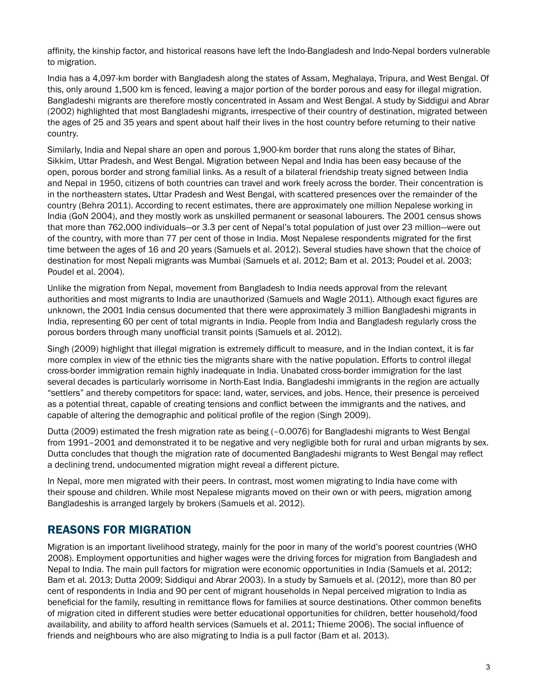affinity, the kinship factor, and historical reasons have left the Indo-Bangladesh and Indo-Nepal borders vulnerable to migration.

India has a 4,097-km border with Bangladesh along the states of Assam, Meghalaya, Tripura, and West Bengal. Of this, only around 1,500 km is fenced, leaving a major portion of the border porous and easy for illegal migration. Bangladeshi migrants are therefore mostly concentrated in Assam and West Bengal. A study by Siddigui and Abrar (2002) highlighted that most Bangladeshi migrants, irrespective of their country of destination, migrated between the ages of 25 and 35 years and spent about half their lives in the host country before returning to their native country.

Similarly, India and Nepal share an open and porous 1,900-km border that runs along the states of Bihar, Sikkim, Uttar Pradesh, and West Bengal. Migration between Nepal and India has been easy because of the open, porous border and strong familial links. As a result of a bilateral friendship treaty signed between India and Nepal in 1950, citizens of both countries can travel and work freely across the border. Their concentration is in the northeastern states, Uttar Pradesh and West Bengal, with scattered presences over the remainder of the country (Behra 2011). According to recent estimates, there are approximately one million Nepalese working in India (GoN 2004), and they mostly work as unskilled permanent or seasonal labourers. The 2001 census shows that more than 762,000 individuals—or 3.3 per cent of Nepal's total population of just over 23 million—were out of the country, with more than 77 per cent of those in India. Most Nepalese respondents migrated for the first time between the ages of 16 and 20 years (Samuels et al. 2012). Several studies have shown that the choice of destination for most Nepali migrants was Mumbai (Samuels et al. 2012; Bam et al. 2013; Poudel et al. 2003; Poudel et al. 2004).

Unlike the migration from Nepal, movement from Bangladesh to India needs approval from the relevant authorities and most migrants to India are unauthorized (Samuels and Wagle 2011). Although exact figures are unknown, the 2001 India census documented that there were approximately 3 million Bangladeshi migrants in India, representing 60 per cent of total migrants in India. People from India and Bangladesh regularly cross the porous borders through many unofficial transit points (Samuels et al. 2012).

Singh (2009) highlight that illegal migration is extremely difficult to measure, and in the Indian context, it is far more complex in view of the ethnic ties the migrants share with the native population. Efforts to control illegal cross-border immigration remain highly inadequate in India. Unabated cross-border immigration for the last several decades is particularly worrisome in North-East India. Bangladeshi immigrants in the region are actually "settlers" and thereby competitors for space: land, water, services, and jobs. Hence, their presence is perceived as a potential threat, capable of creating tensions and conflict between the immigrants and the natives, and capable of altering the demographic and political profile of the region (Singh 2009).

Dutta (2009) estimated the fresh migration rate as being (–0.0076) for Bangladeshi migrants to West Bengal from 1991–2001 and demonstrated it to be negative and very negligible both for rural and urban migrants by sex. Dutta concludes that though the migration rate of documented Bangladeshi migrants to West Bengal may reflect a declining trend, undocumented migration might reveal a different picture.

In Nepal, more men migrated with their peers. In contrast, most women migrating to India have come with their spouse and children. While most Nepalese migrants moved on their own or with peers, migration among Bangladeshis is arranged largely by brokers (Samuels et al. 2012).

# Reasons for Migration

Migration is an important livelihood strategy, mainly for the poor in many of the world's poorest countries (WHO 2008). Employment opportunities and higher wages were the driving forces for migration from Bangladesh and Nepal to India. The main pull factors for migration were economic opportunities in India (Samuels et al. 2012; Bam et al. 2013; Dutta 2009; Siddiqui and Abrar 2003). In a study by Samuels et al. (2012), more than 80 per cent of respondents in India and 90 per cent of migrant households in Nepal perceived migration to India as beneficial for the family, resulting in remittance flows for families at source destinations. Other common benefits of migration cited in different studies were better educational opportunities for children, better household/food availability, and ability to afford health services (Samuels et al. 2011; Thieme 2006). The social influence of friends and neighbours who are also migrating to India is a pull factor (Bam et al. 2013).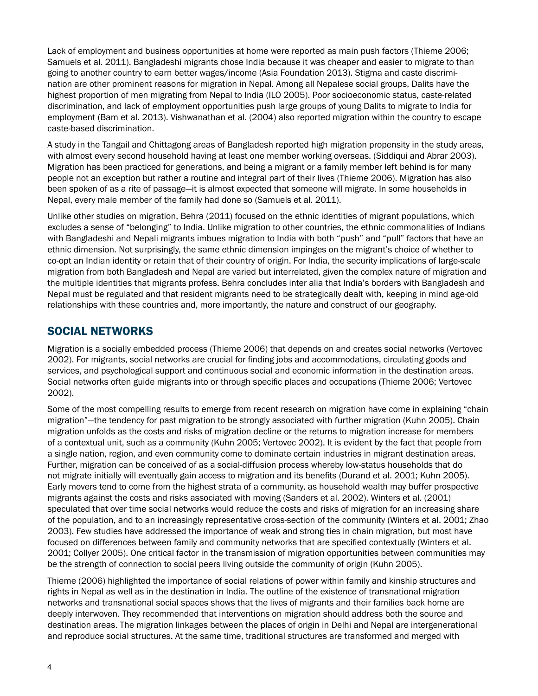Lack of employment and business opportunities at home were reported as main push factors (Thieme 2006; Samuels et al. 2011). Bangladeshi migrants chose India because it was cheaper and easier to migrate to than going to another country to earn better wages/income (Asia Foundation 2013). Stigma and caste discrimination are other prominent reasons for migration in Nepal. Among all Nepalese social groups, Dalits have the highest proportion of men migrating from Nepal to India (ILO 2005). Poor socioeconomic status, caste-related discrimination, and lack of employment opportunities push large groups of young Dalits to migrate to India for employment (Bam et al. 2013). Vishwanathan et al. (2004) also reported migration within the country to escape caste-based discrimination.

A study in the Tangail and Chittagong areas of Bangladesh reported high migration propensity in the study areas, with almost every second household having at least one member working overseas. (Siddiqui and Abrar 2003). Migration has been practiced for generations, and being a migrant or a family member left behind is for many people not an exception but rather a routine and integral part of their lives (Thieme 2006). Migration has also been spoken of as a rite of passage—it is almost expected that someone will migrate. In some households in Nepal, every male member of the family had done so (Samuels et al. 2011).

Unlike other studies on migration, Behra (2011) focused on the ethnic identities of migrant populations, which excludes a sense of "belonging" to India. Unlike migration to other countries, the ethnic commonalities of Indians with Bangladeshi and Nepali migrants imbues migration to India with both "push" and "pull" factors that have an ethnic dimension. Not surprisingly, the same ethnic dimension impinges on the migrant's choice of whether to co-opt an Indian identity or retain that of their country of origin. For India, the security implications of large-scale migration from both Bangladesh and Nepal are varied but interrelated, given the complex nature of migration and the multiple identities that migrants profess. Behra concludes inter alia that India's borders with Bangladesh and Nepal must be regulated and that resident migrants need to be strategically dealt with, keeping in mind age-old relationships with these countries and, more importantly, the nature and construct of our geography.

## Social Networks

Migration is a socially embedded process (Thieme 2006) that depends on and creates social networks (Vertovec 2002). For migrants, social networks are crucial for finding jobs and accommodations, circulating goods and services, and psychological support and continuous social and economic information in the destination areas. Social networks often guide migrants into or through specific places and occupations (Thieme 2006; Vertovec 2002).

Some of the most compelling results to emerge from recent research on migration have come in explaining "chain migration"—the tendency for past migration to be strongly associated with further migration (Kuhn 2005). Chain migration unfolds as the costs and risks of migration decline or the returns to migration increase for members of a contextual unit, such as a community (Kuhn 2005; Vertovec 2002). It is evident by the fact that people from a single nation, region, and even community come to dominate certain industries in migrant destination areas. Further, migration can be conceived of as a social-diffusion process whereby low-status households that do not migrate initially will eventually gain access to migration and its benefits (Durand et al. 2001; Kuhn 2005). Early movers tend to come from the highest strata of a community, as household wealth may buffer prospective migrants against the costs and risks associated with moving (Sanders et al. 2002). Winters et al. (2001) speculated that over time social networks would reduce the costs and risks of migration for an increasing share of the population, and to an increasingly representative cross-section of the community (Winters et al. 2001; Zhao 2003). Few studies have addressed the importance of weak and strong ties in chain migration, but most have focused on differences between family and community networks that are specified contextually (Winters et al. 2001; Collyer 2005). One critical factor in the transmission of migration opportunities between communities may be the strength of connection to social peers living outside the community of origin (Kuhn 2005).

Thieme (2006) highlighted the importance of social relations of power within family and kinship structures and rights in Nepal as well as in the destination in India. The outline of the existence of transnational migration networks and transnational social spaces shows that the lives of migrants and their families back home are deeply interwoven. They recommended that interventions on migration should address both the source and destination areas. The migration linkages between the places of origin in Delhi and Nepal are intergenerational and reproduce social structures. At the same time, traditional structures are transformed and merged with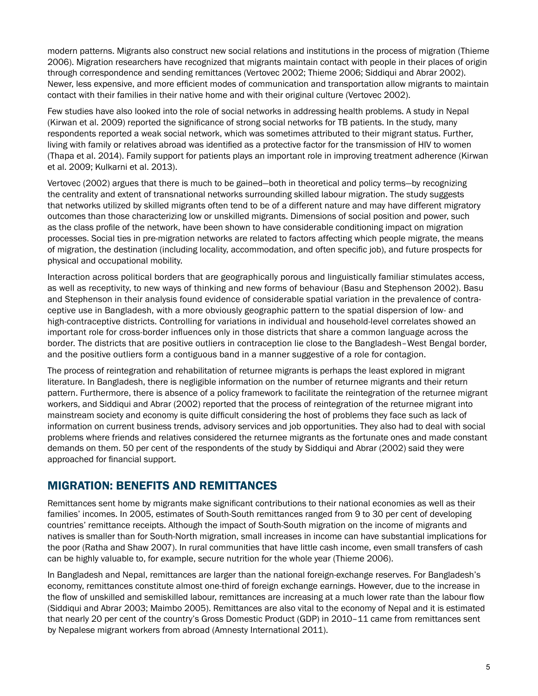modern patterns. Migrants also construct new social relations and institutions in the process of migration (Thieme 2006). Migration researchers have recognized that migrants maintain contact with people in their places of origin through correspondence and sending remittances (Vertovec 2002; Thieme 2006; Siddiqui and Abrar 2002). Newer, less expensive, and more efficient modes of communication and transportation allow migrants to maintain contact with their families in their native home and with their original culture (Vertovec 2002).

Few studies have also looked into the role of social networks in addressing health problems. A study in Nepal (Kirwan et al. 2009) reported the significance of strong social networks for TB patients. In the study, many respondents reported a weak social network, which was sometimes attributed to their migrant status. Further, living with family or relatives abroad was identified as a protective factor for the transmission of HIV to women (Thapa et al. 2014). Family support for patients plays an important role in improving treatment adherence (Kirwan et al. 2009; Kulkarni et al. 2013).

Vertovec (2002) argues that there is much to be gained—both in theoretical and policy terms—by recognizing the centrality and extent of transnational networks surrounding skilled labour migration. The study suggests that networks utilized by skilled migrants often tend to be of a different nature and may have different migratory outcomes than those characterizing low or unskilled migrants. Dimensions of social position and power, such as the class profile of the network, have been shown to have considerable conditioning impact on migration processes. Social ties in pre-migration networks are related to factors affecting which people migrate, the means of migration, the destination (including locality, accommodation, and often specific job), and future prospects for physical and occupational mobility.

Interaction across political borders that are geographically porous and linguistically familiar stimulates access, as well as receptivity, to new ways of thinking and new forms of behaviour (Basu and Stephenson 2002). Basu and Stephenson in their analysis found evidence of considerable spatial variation in the prevalence of contraceptive use in Bangladesh, with a more obviously geographic pattern to the spatial dispersion of low- and high-contraceptive districts. Controlling for variations in individual and household-level correlates showed an important role for cross-border influences only in those districts that share a common language across the border. The districts that are positive outliers in contraception lie close to the Bangladesh–West Bengal border, and the positive outliers form a contiguous band in a manner suggestive of a role for contagion.

The process of reintegration and rehabilitation of returnee migrants is perhaps the least explored in migrant literature. In Bangladesh, there is negligible information on the number of returnee migrants and their return pattern. Furthermore, there is absence of a policy framework to facilitate the reintegration of the returnee migrant workers, and Siddiqui and Abrar (2002) reported that the process of reintegration of the returnee migrant into mainstream society and economy is quite difficult considering the host of problems they face such as lack of information on current business trends, advisory services and job opportunities. They also had to deal with social problems where friends and relatives considered the returnee migrants as the fortunate ones and made constant demands on them. 50 per cent of the respondents of the study by Siddiqui and Abrar (2002) said they were approached for financial support.

### Migration: Benefits and Remittances

Remittances sent home by migrants make significant contributions to their national economies as well as their families' incomes. In 2005, estimates of South-South remittances ranged from 9 to 30 per cent of developing countries' remittance receipts. Although the impact of South-South migration on the income of migrants and natives is smaller than for South-North migration, small increases in income can have substantial implications for the poor (Ratha and Shaw 2007). In rural communities that have little cash income, even small transfers of cash can be highly valuable to, for example, secure nutrition for the whole year (Thieme 2006).

In Bangladesh and Nepal, remittances are larger than the national foreign-exchange reserves. For Bangladesh's economy, remittances constitute almost one-third of foreign exchange earnings. However, due to the increase in the flow of unskilled and semiskilled labour, remittances are increasing at a much lower rate than the labour flow (Siddiqui and Abrar 2003; Maimbo 2005). Remittances are also vital to the economy of Nepal and it is estimated that nearly 20 per cent of the country's Gross Domestic Product (GDP) in 2010–11 came from remittances sent by Nepalese migrant workers from abroad (Amnesty International 2011).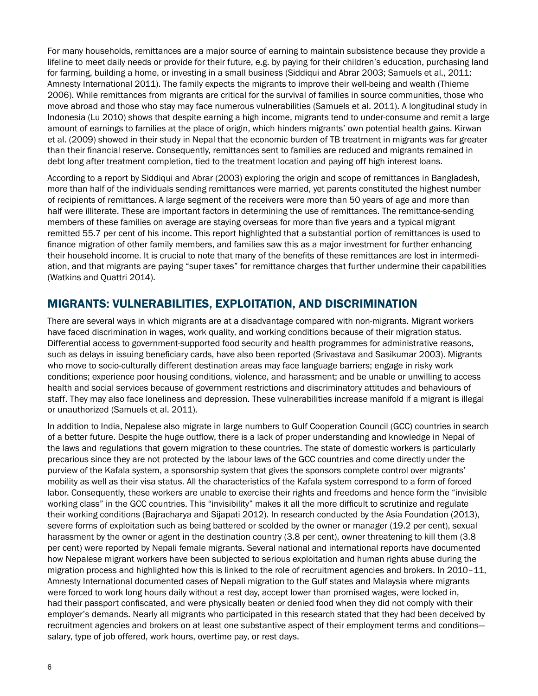For many households, remittances are a major source of earning to maintain subsistence because they provide a lifeline to meet daily needs or provide for their future, e.g. by paying for their children's education, purchasing land for farming, building a home, or investing in a small business (Siddiqui and Abrar 2003; Samuels et al., 2011; Amnesty International 2011). The family expects the migrants to improve their well-being and wealth (Thieme 2006). While remittances from migrants are critical for the survival of families in source communities, those who move abroad and those who stay may face numerous vulnerabilities (Samuels et al. 2011). A longitudinal study in Indonesia (Lu 2010) shows that despite earning a high income, migrants tend to under-consume and remit a large amount of earnings to families at the place of origin, which hinders migrants' own potential health gains. Kirwan et al. (2009) showed in their study in Nepal that the economic burden of TB treatment in migrants was far greater than their financial reserve. Consequently, remittances sent to families are reduced and migrants remained in debt long after treatment completion, tied to the treatment location and paying off high interest loans.

According to a report by Siddiqui and Abrar (2003) exploring the origin and scope of remittances in Bangladesh, more than half of the individuals sending remittances were married, yet parents constituted the highest number of recipients of remittances. A large segment of the receivers were more than 50 years of age and more than half were illiterate. These are important factors in determining the use of remittances. The remittance-sending members of these families on average are staying overseas for more than five years and a typical migrant remitted 55.7 per cent of his income. This report highlighted that a substantial portion of remittances is used to finance migration of other family members, and families saw this as a major investment for further enhancing their household income. It is crucial to note that many of the benefits of these remittances are lost in intermediation, and that migrants are paying "super taxes" for remittance charges that further undermine their capabilities (Watkins and Quattri 2014).

## Migrants: Vulnerabilities, Exploitation, and Discrimination

There are several ways in which migrants are at a disadvantage compared with non-migrants. Migrant workers have faced discrimination in wages, work quality, and working conditions because of their migration status. Differential access to government-supported food security and health programmes for administrative reasons, such as delays in issuing beneficiary cards, have also been reported (Srivastava and Sasikumar 2003). Migrants who move to socio-culturally different destination areas may face language barriers; engage in risky work conditions; experience poor housing conditions, violence, and harassment; and be unable or unwilling to access health and social services because of government restrictions and discriminatory attitudes and behaviours of staff. They may also face loneliness and depression. These vulnerabilities increase manifold if a migrant is illegal or unauthorized (Samuels et al. 2011).

In addition to India, Nepalese also migrate in large numbers to Gulf Cooperation Council (GCC) countries in search of a better future. Despite the huge outflow, there is a lack of proper understanding and knowledge in Nepal of the laws and regulations that govern migration to these countries. The state of domestic workers is particularly precarious since they are not protected by the labour laws of the GCC countries and come directly under the purview of the Kafala system, a sponsorship system that gives the sponsors complete control over migrants' mobility as well as their visa status. All the characteristics of the Kafala system correspond to a form of forced labor. Consequently, these workers are unable to exercise their rights and freedoms and hence form the "invisible working class" in the GCC countries. This "invisibility" makes it all the more difficult to scrutinize and regulate their working conditions (Bajracharya and Sijapati 2012). In research conducted by the Asia Foundation (2013), severe forms of exploitation such as being battered or scolded by the owner or manager (19.2 per cent), sexual harassment by the owner or agent in the destination country (3.8 per cent), owner threatening to kill them (3.8 per cent) were reported by Nepali female migrants. Several national and international reports have documented how Nepalese migrant workers have been subjected to serious exploitation and human rights abuse during the migration process and highlighted how this is linked to the role of recruitment agencies and brokers. In 2010–11, Amnesty International documented cases of Nepali migration to the Gulf states and Malaysia where migrants were forced to work long hours daily without a rest day, accept lower than promised wages, were locked in, had their passport confiscated, and were physically beaten or denied food when they did not comply with their employer's demands. Nearly all migrants who participated in this research stated that they had been deceived by recruitment agencies and brokers on at least one substantive aspect of their employment terms and conditions salary, type of job offered, work hours, overtime pay, or rest days.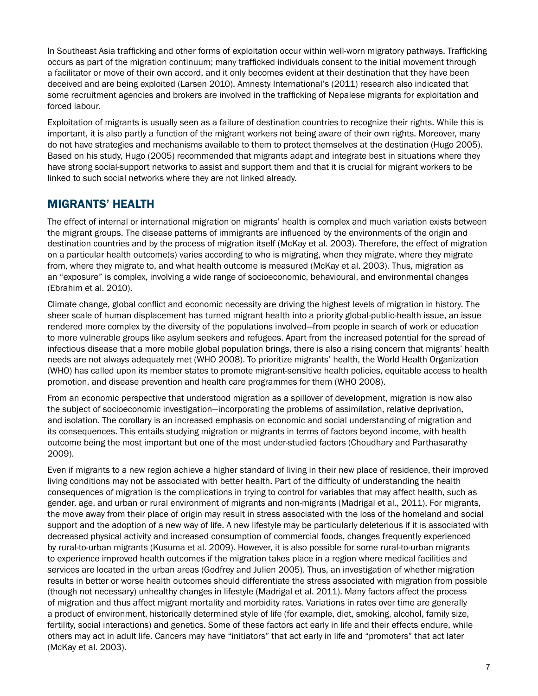In Southeast Asia trafficking and other forms of exploitation occur within well-worn migratory pathways. Trafficking occurs as part of the migration continuum; many trafficked individuals consent to the initial movement through a facilitator or move of their own accord, and it only becomes evident at their destination that they have been deceived and are being exploited (Larsen 2010). Amnesty International's (2011) research also indicated that some recruitment agencies and brokers are involved in the trafficking of Nepalese migrants for exploitation and forced labour.

Exploitation of migrants is usually seen as a failure of destination countries to recognize their rights. While this is important, it is also partly a function of the migrant workers not being aware of their own rights. Moreover, many do not have strategies and mechanisms available to them to protect themselves at the destination (Hugo 2005). Based on his study, Hugo (2005) recommended that migrants adapt and integrate best in situations where they have strong social-support networks to assist and support them and that it is crucial for migrant workers to be linked to such social networks where they are not linked already.

## Migrants' Health

The effect of internal or international migration on migrants' health is complex and much variation exists between the migrant groups. The disease patterns of immigrants are influenced by the environments of the origin and destination countries and by the process of migration itself (McKay et al. 2003). Therefore, the effect of migration on a particular health outcome(s) varies according to who is migrating, when they migrate, where they migrate from, where they migrate to, and what health outcome is measured (McKay et al. 2003). Thus, migration as an "exposure" is complex, involving a wide range of socioeconomic, behavioural, and environmental changes (Ebrahim et al. 2010).

Climate change, global conflict and economic necessity are driving the highest levels of migration in history. The sheer scale of human displacement has turned migrant health into a priority global-public-health issue, an issue rendered more complex by the diversity of the populations involved—from people in search of work or education to more vulnerable groups like asylum seekers and refugees. Apart from the increased potential for the spread of infectious disease that a more mobile global population brings, there is also a rising concern that migrants' health needs are not always adequately met (WHO 2008). To prioritize migrants' health, the World Health Organization (WHO) has called upon its member states to promote migrant-sensitive health policies, equitable access to health promotion, and disease prevention and health care programmes for them (WHO 2008).

From an economic perspective that understood migration as a spillover of development, migration is now also the subject of socioeconomic investigation—incorporating the problems of assimilation, relative deprivation, and isolation. The corollary is an increased emphasis on economic and social understanding of migration and its consequences. This entails studying migration or migrants in terms of factors beyond income, with health outcome being the most important but one of the most under-studied factors (Choudhary and Parthasarathy 2009).

Even if migrants to a new region achieve a higher standard of living in their new place of residence, their improved living conditions may not be associated with better health. Part of the difficulty of understanding the health consequences of migration is the complications in trying to control for variables that may affect health, such as gender, age, and urban or rural environment of migrants and non-migrants (Madrigal et al., 2011). For migrants, the move away from their place of origin may result in stress associated with the loss of the homeland and social support and the adoption of a new way of life. A new lifestyle may be particularly deleterious if it is associated with decreased physical activity and increased consumption of commercial foods, changes frequently experienced by rural-to-urban migrants (Kusuma et al. 2009). However, it is also possible for some rural-to-urban migrants to experience improved health outcomes if the migration takes place in a region where medical facilities and services are located in the urban areas (Godfrey and Julien 2005). Thus, an investigation of whether migration results in better or worse health outcomes should differentiate the stress associated with migration from possible (though not necessary) unhealthy changes in lifestyle (Madrigal et al. 2011). Many factors affect the process of migration and thus affect migrant mortality and morbidity rates. Variations in rates over time are generally a product of environment, historically determined style of life (for example, diet, smoking, alcohol, family size, fertility, social interactions) and genetics. Some of these factors act early in life and their effects endure, while others may act in adult life. Cancers may have "initiators" that act early in life and "promoters" that act later (McKay et al. 2003).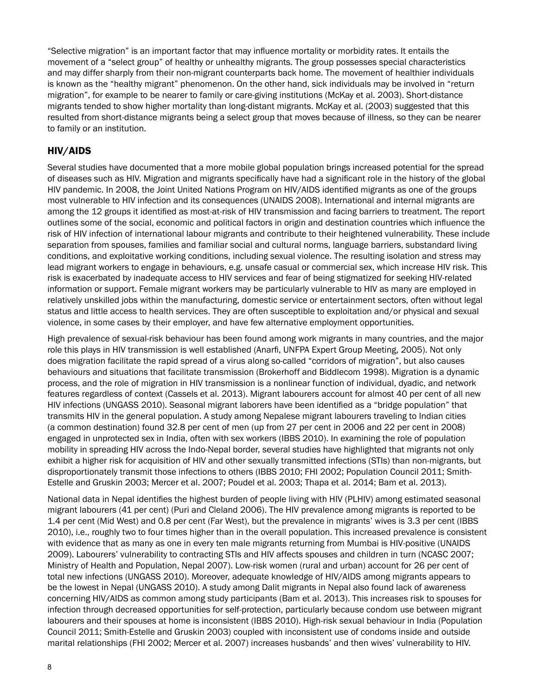"Selective migration" is an important factor that may influence mortality or morbidity rates. It entails the movement of a "select group" of healthy or unhealthy migrants. The group possesses special characteristics and may differ sharply from their non-migrant counterparts back home. The movement of healthier individuals is known as the "healthy migrant" phenomenon. On the other hand, sick individuals may be involved in "return migration", for example to be nearer to family or care-giving institutions (McKay et al. 2003). Short-distance migrants tended to show higher mortality than long-distant migrants. McKay et al. (2003) suggested that this resulted from short-distance migrants being a select group that moves because of illness, so they can be nearer to family or an institution.

#### HIV/AIDS

Several studies have documented that a more mobile global population brings increased potential for the spread of diseases such as HIV. Migration and migrants specifically have had a significant role in the history of the global HIV pandemic. In 2008, the Joint United Nations Program on HIV/AIDS identified migrants as one of the groups most vulnerable to HIV infection and its consequences (UNAIDS 2008). International and internal migrants are among the 12 groups it identified as most-at-risk of HIV transmission and facing barriers to treatment. The report outlines some of the social, economic and political factors in origin and destination countries which influence the risk of HIV infection of international labour migrants and contribute to their heightened vulnerability. These include separation from spouses, families and familiar social and cultural norms, language barriers, substandard living conditions, and exploitative working conditions, including sexual violence. The resulting isolation and stress may lead migrant workers to engage in behaviours, e.g. unsafe casual or commercial sex, which increase HIV risk. This risk is exacerbated by inadequate access to HIV services and fear of being stigmatized for seeking HIV-related information or support. Female migrant workers may be particularly vulnerable to HIV as many are employed in relatively unskilled jobs within the manufacturing, domestic service or entertainment sectors, often without legal status and little access to health services. They are often susceptible to exploitation and/or physical and sexual violence, in some cases by their employer, and have few alternative employment opportunities.

High prevalence of sexual-risk behaviour has been found among work migrants in many countries, and the major role this plays in HIV transmission is well established (Anarfi, UNFPA Expert Group Meeting, 2005). Not only does migration facilitate the rapid spread of a virus along so-called "corridors of migration", but also causes behaviours and situations that facilitate transmission (Brokerhoff and Biddlecom 1998). Migration is a dynamic process, and the role of migration in HIV transmission is a nonlinear function of individual, dyadic, and network features regardless of context (Cassels et al. 2013). Migrant labourers account for almost 40 per cent of all new HIV infections (UNGASS 2010). Seasonal migrant laborers have been identified as a "bridge population" that transmits HIV in the general population. A study among Nepalese migrant labourers traveling to Indian cities (a common destination) found 32.8 per cent of men (up from 27 per cent in 2006 and 22 per cent in 2008) engaged in unprotected sex in India, often with sex workers (IBBS 2010). In examining the role of population mobility in spreading HIV across the Indo-Nepal border, several studies have highlighted that migrants not only exhibit a higher risk for acquisition of HIV and other sexually transmitted infections (STIs) than non-migrants, but disproportionately transmit those infections to others (IBBS 2010; FHI 2002; Population Council 2011; Smith-Estelle and Gruskin 2003; Mercer et al. 2007; Poudel et al. 2003; Thapa et al. 2014; Bam et al. 2013).

National data in Nepal identifies the highest burden of people living with HIV (PLHIV) among estimated seasonal migrant labourers (41 per cent) (Puri and Cleland 2006). The HIV prevalence among migrants is reported to be 1.4 per cent (Mid West) and 0.8 per cent (Far West), but the prevalence in migrants' wives is 3.3 per cent (IBBS 2010), i.e., roughly two to four times higher than in the overall population. This increased prevalence is consistent with evidence that as many as one in every ten male migrants returning from Mumbai is HIV-positive (UNAIDS 2009). Labourers' vulnerability to contracting STIs and HIV affects spouses and children in turn (NCASC 2007; Ministry of Health and Population, Nepal 2007). Low-risk women (rural and urban) account for 26 per cent of total new infections (UNGASS 2010). Moreover, adequate knowledge of HIV/AIDS among migrants appears to be the lowest in Nepal (UNGASS 2010). A study among Dalit migrants in Nepal also found lack of awareness concerning HIV/AIDS as common among study participants (Bam et al. 2013). This increases risk to spouses for infection through decreased opportunities for self-protection, particularly because condom use between migrant labourers and their spouses at home is inconsistent (IBBS 2010). High-risk sexual behaviour in India (Population Council 2011; Smith-Estelle and Gruskin 2003) coupled with inconsistent use of condoms inside and outside marital relationships (FHI 2002; Mercer et al. 2007) increases husbands' and then wives' vulnerability to HIV.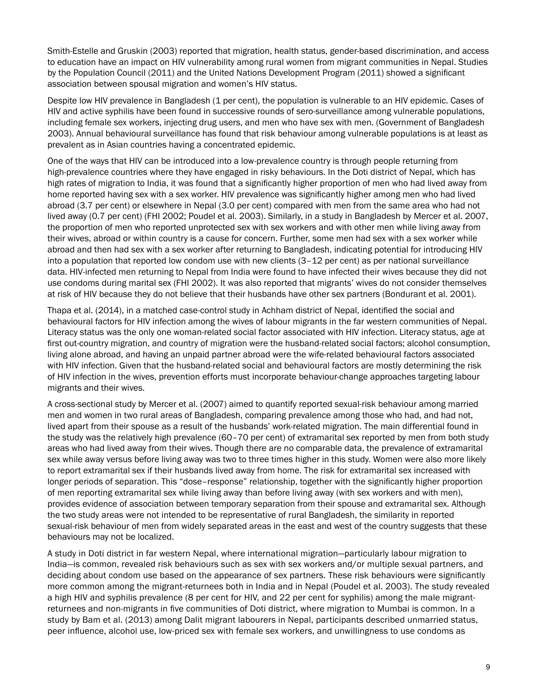Smith-Estelle and Gruskin (2003) reported that migration, health status, gender-based discrimination, and access to education have an impact on HIV vulnerability among rural women from migrant communities in Nepal. Studies by the Population Council (2011) and the United Nations Development Program (2011) showed a significant association between spousal migration and women's HIV status.

Despite low HIV prevalence in Bangladesh (1 per cent), the population is vulnerable to an HIV epidemic. Cases of HIV and active syphilis have been found in successive rounds of sero-surveillance among vulnerable populations, including female sex workers, injecting drug users, and men who have sex with men. (Government of Bangladesh 2003). Annual behavioural surveillance has found that risk behaviour among vulnerable populations is at least as prevalent as in Asian countries having a concentrated epidemic.

One of the ways that HIV can be introduced into a low-prevalence country is through people returning from high-prevalence countries where they have engaged in risky behaviours. In the Doti district of Nepal, which has high rates of migration to India, it was found that a significantly higher proportion of men who had lived away from home reported having sex with a sex worker. HIV prevalence was significantly higher among men who had lived abroad (3.7 per cent) or elsewhere in Nepal (3.0 per cent) compared with men from the same area who had not lived away (0.7 per cent) (FHI 2002; Poudel et al. 2003). Similarly, in a study in Bangladesh by Mercer et al. 2007, the proportion of men who reported unprotected sex with sex workers and with other men while living away from their wives, abroad or within country is a cause for concern. Further, some men had sex with a sex worker while abroad and then had sex with a sex worker after returning to Bangladesh, indicating potential for introducing HIV into a population that reported low condom use with new clients (3–12 per cent) as per national surveillance data. HIV-infected men returning to Nepal from India were found to have infected their wives because they did not use condoms during marital sex (FHI 2002). It was also reported that migrants' wives do not consider themselves at risk of HIV because they do not believe that their husbands have other sex partners (Bondurant et al. 2001).

Thapa et al. (2014), in a matched case-control study in Achham district of Nepal, identified the social and behavioural factors for HIV infection among the wives of labour migrants in the far western communities of Nepal. Literacy status was the only one woman-related social factor associated with HIV infection. Literacy status, age at first out-country migration, and country of migration were the husband-related social factors; alcohol consumption, living alone abroad, and having an unpaid partner abroad were the wife-related behavioural factors associated with HIV infection. Given that the husband-related social and behavioural factors are mostly determining the risk of HIV infection in the wives, prevention efforts must incorporate behaviour-change approaches targeting labour migrants and their wives.

A cross-sectional study by Mercer et al. (2007) aimed to quantify reported sexual-risk behaviour among married men and women in two rural areas of Bangladesh, comparing prevalence among those who had, and had not, lived apart from their spouse as a result of the husbands' work-related migration. The main differential found in the study was the relatively high prevalence (60–70 per cent) of extramarital sex reported by men from both study areas who had lived away from their wives. Though there are no comparable data, the prevalence of extramarital sex while away versus before living away was two to three times higher in this study. Women were also more likely to report extramarital sex if their husbands lived away from home. The risk for extramarital sex increased with longer periods of separation. This "dose–response" relationship, together with the significantly higher proportion of men reporting extramarital sex while living away than before living away (with sex workers and with men), provides evidence of association between temporary separation from their spouse and extramarital sex. Although the two study areas were not intended to be representative of rural Bangladesh, the similarity in reported sexual-risk behaviour of men from widely separated areas in the east and west of the country suggests that these behaviours may not be localized.

A study in Doti district in far western Nepal, where international migration—particularly labour migration to India—is common, revealed risk behaviours such as sex with sex workers and/or multiple sexual partners, and deciding about condom use based on the appearance of sex partners. These risk behaviours were significantly more common among the migrant-returnees both in India and in Nepal (Poudel et al. 2003). The study revealed a high HIV and syphilis prevalence (8 per cent for HIV, and 22 per cent for syphilis) among the male migrantreturnees and non-migrants in five communities of Doti district, where migration to Mumbai is common. In a study by Bam et al. (2013) among Dalit migrant labourers in Nepal, participants described unmarried status, peer influence, alcohol use, low-priced sex with female sex workers, and unwillingness to use condoms as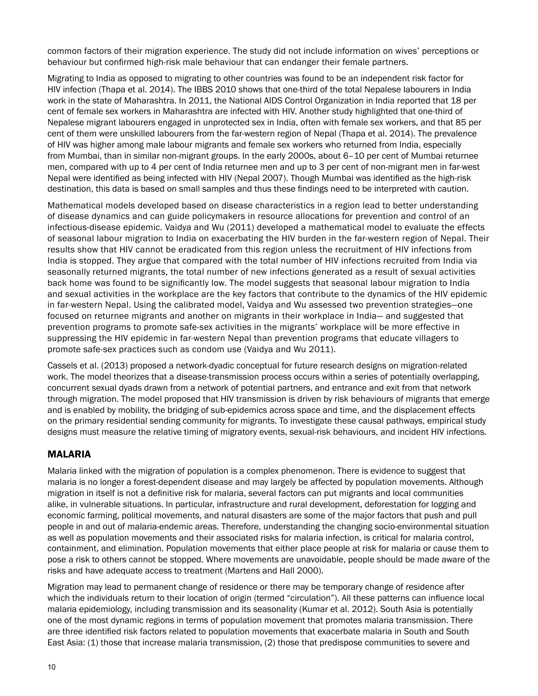common factors of their migration experience. The study did not include information on wives' perceptions or behaviour but confirmed high-risk male behaviour that can endanger their female partners.

Migrating to India as opposed to migrating to other countries was found to be an independent risk factor for HIV infection (Thapa et al. 2014). The IBBS 2010 shows that one-third of the total Nepalese labourers in India work in the state of Maharashtra. In 2011, the National AIDS Control Organization in India reported that 18 per cent of female sex workers in Maharashtra are infected with HIV. Another study highlighted that one-third of Nepalese migrant labourers engaged in unprotected sex in India, often with female sex workers, and that 85 per cent of them were unskilled labourers from the far-western region of Nepal (Thapa et al. 2014). The prevalence of HIV was higher among male labour migrants and female sex workers who returned from India, especially from Mumbai, than in similar non-migrant groups. In the early 2000s, about 6–10 per cent of Mumbai returnee men, compared with up to 4 per cent of India returnee men and up to 3 per cent of non-migrant men in far-west Nepal were identified as being infected with HIV (Nepal 2007). Though Mumbai was identified as the high-risk destination, this data is based on small samples and thus these findings need to be interpreted with caution.

Mathematical models developed based on disease characteristics in a region lead to better understanding of disease dynamics and can guide policymakers in resource allocations for prevention and control of an infectious-disease epidemic. Vaidya and Wu (2011) developed a mathematical model to evaluate the effects of seasonal labour migration to India on exacerbating the HIV burden in the far-western region of Nepal. Their results show that HIV cannot be eradicated from this region unless the recruitment of HIV infections from India is stopped. They argue that compared with the total number of HIV infections recruited from India via seasonally returned migrants, the total number of new infections generated as a result of sexual activities back home was found to be significantly low. The model suggests that seasonal labour migration to India and sexual activities in the workplace are the key factors that contribute to the dynamics of the HIV epidemic in far-western Nepal. Using the calibrated model, Vaidya and Wu assessed two prevention strategies—one focused on returnee migrants and another on migrants in their workplace in India— and suggested that prevention programs to promote safe-sex activities in the migrants' workplace will be more effective in suppressing the HIV epidemic in far-western Nepal than prevention programs that educate villagers to promote safe-sex practices such as condom use (Vaidya and Wu 2011).

Cassels et al. (2013) proposed a network-dyadic conceptual for future research designs on migration-related work. The model theorizes that a disease-transmission process occurs within a series of potentially overlapping, concurrent sexual dyads drawn from a network of potential partners, and entrance and exit from that network through migration. The model proposed that HIV transmission is driven by risk behaviours of migrants that emerge and is enabled by mobility, the bridging of sub-epidemics across space and time, and the displacement effects on the primary residential sending community for migrants. To investigate these causal pathways, empirical study designs must measure the relative timing of migratory events, sexual-risk behaviours, and incident HIV infections.

#### MALARIA

Malaria linked with the migration of population is a complex phenomenon. There is evidence to suggest that malaria is no longer a forest-dependent disease and may largely be affected by population movements. Although migration in itself is not a definitive risk for malaria, several factors can put migrants and local communities alike, in vulnerable situations. In particular, infrastructure and rural development, deforestation for logging and economic farming, political movements, and natural disasters are some of the major factors that push and pull people in and out of malaria-endemic areas. Therefore, understanding the changing socio-environmental situation as well as population movements and their associated risks for malaria infection, is critical for malaria control, containment, and elimination. Population movements that either place people at risk for malaria or cause them to pose a risk to others cannot be stopped. Where movements are unavoidable, people should be made aware of the risks and have adequate access to treatment (Martens and Hall 2000).

Migration may lead to permanent change of residence or there may be temporary change of residence after which the individuals return to their location of origin (termed "circulation"). All these patterns can influence local malaria epidemiology, including transmission and its seasonality (Kumar et al. 2012). South Asia is potentially one of the most dynamic regions in terms of population movement that promotes malaria transmission. There are three identified risk factors related to population movements that exacerbate malaria in South and South East Asia: (1) those that increase malaria transmission, (2) those that predispose communities to severe and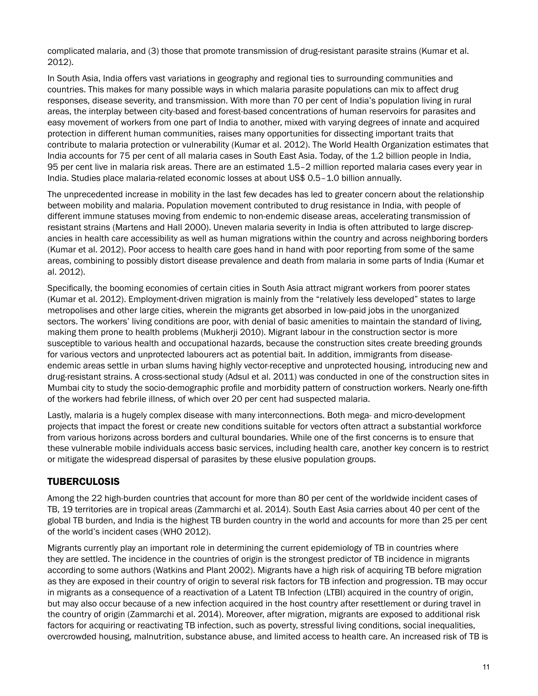complicated malaria, and (3) those that promote transmission of drug-resistant parasite strains (Kumar et al. 2012).

In South Asia, India offers vast variations in geography and regional ties to surrounding communities and countries. This makes for many possible ways in which malaria parasite populations can mix to affect drug responses, disease severity, and transmission. With more than 70 per cent of India's population living in rural areas, the interplay between city-based and forest-based concentrations of human reservoirs for parasites and easy movement of workers from one part of India to another, mixed with varying degrees of innate and acquired protection in different human communities, raises many opportunities for dissecting important traits that contribute to malaria protection or vulnerability (Kumar et al. 2012). The World Health Organization estimates that India accounts for 75 per cent of all malaria cases in South East Asia. Today, of the 1.2 billion people in India, 95 per cent live in malaria risk areas. There are an estimated 1.5–2 million reported malaria cases every year in India. Studies place malaria-related economic losses at about US\$ 0.5–1.0 billion annually.

The unprecedented increase in mobility in the last few decades has led to greater concern about the relationship between mobility and malaria. Population movement contributed to drug resistance in India, with people of different immune statuses moving from endemic to non-endemic disease areas, accelerating transmission of resistant strains (Martens and Hall 2000). Uneven malaria severity in India is often attributed to large discrepancies in health care accessibility as well as human migrations within the country and across neighboring borders (Kumar et al. 2012). Poor access to health care goes hand in hand with poor reporting from some of the same areas, combining to possibly distort disease prevalence and death from malaria in some parts of India (Kumar et al. 2012).

Specifically, the booming economies of certain cities in South Asia attract migrant workers from poorer states (Kumar et al. 2012). Employment-driven migration is mainly from the "relatively less developed" states to large metropolises and other large cities, wherein the migrants get absorbed in low-paid jobs in the unorganized sectors. The workers' living conditions are poor, with denial of basic amenities to maintain the standard of living, making them prone to health problems (Mukherji 2010). Migrant labour in the construction sector is more susceptible to various health and occupational hazards, because the construction sites create breeding grounds for various vectors and unprotected labourers act as potential bait. In addition, immigrants from diseaseendemic areas settle in urban slums having highly vector-receptive and unprotected housing, introducing new and drug-resistant strains. A cross-sectional study (Adsul et al. 2011) was conducted in one of the construction sites in Mumbai city to study the socio-demographic profile and morbidity pattern of construction workers. Nearly one-fifth of the workers had febrile illness, of which over 20 per cent had suspected malaria.

Lastly, malaria is a hugely complex disease with many interconnections. Both mega- and micro-development projects that impact the forest or create new conditions suitable for vectors often attract a substantial workforce from various horizons across borders and cultural boundaries. While one of the first concerns is to ensure that these vulnerable mobile individuals access basic services, including health care, another key concern is to restrict or mitigate the widespread dispersal of parasites by these elusive population groups.

#### TUBERCULOSIS

Among the 22 high-burden countries that account for more than 80 per cent of the worldwide incident cases of TB, 19 territories are in tropical areas (Zammarchi et al. 2014). South East Asia carries about 40 per cent of the global TB burden, and India is the highest TB burden country in the world and accounts for more than 25 per cent of the world's incident cases (WHO 2012).

Migrants currently play an important role in determining the current epidemiology of TB in countries where they are settled. The incidence in the countries of origin is the strongest predictor of TB incidence in migrants according to some authors (Watkins and Plant 2002). Migrants have a high risk of acquiring TB before migration as they are exposed in their country of origin to several risk factors for TB infection and progression. TB may occur in migrants as a consequence of a reactivation of a Latent TB Infection (LTBI) acquired in the country of origin, but may also occur because of a new infection acquired in the host country after resettlement or during travel in the country of origin (Zammarchi et al. 2014). Moreover, after migration, migrants are exposed to additional risk factors for acquiring or reactivating TB infection, such as poverty, stressful living conditions, social inequalities, overcrowded housing, malnutrition, substance abuse, and limited access to health care. An increased risk of TB is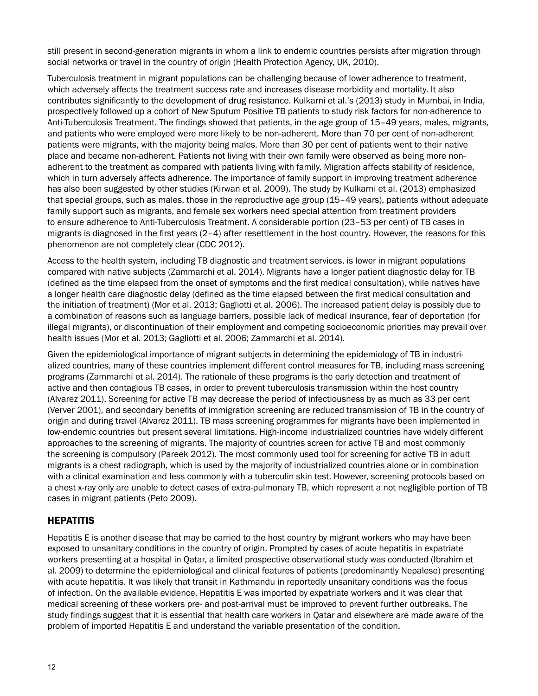still present in second-generation migrants in whom a link to endemic countries persists after migration through social networks or travel in the country of origin (Health Protection Agency, UK, 2010).

Tuberculosis treatment in migrant populations can be challenging because of lower adherence to treatment, which adversely affects the treatment success rate and increases disease morbidity and mortality. It also contributes significantly to the development of drug resistance. Kulkarni et al.'s (2013) study in Mumbai, in India, prospectively followed up a cohort of New Sputum Positive TB patients to study risk factors for non-adherence to Anti-Tuberculosis Treatment. The findings showed that patients, in the age group of 15–49 years, males, migrants, and patients who were employed were more likely to be non-adherent. More than 70 per cent of non-adherent patients were migrants, with the majority being males. More than 30 per cent of patients went to their native place and became non-adherent. Patients not living with their own family were observed as being more nonadherent to the treatment as compared with patients living with family. Migration affects stability of residence, which in turn adversely affects adherence. The importance of family support in improving treatment adherence has also been suggested by other studies (Kirwan et al. 2009). The study by Kulkarni et al. (2013) emphasized that special groups, such as males, those in the reproductive age group (15–49 years), patients without adequate family support such as migrants, and female sex workers need special attention from treatment providers to ensure adherence to Anti-Tuberculosis Treatment. A considerable portion (23–53 per cent) of TB cases in migrants is diagnosed in the first years (2–4) after resettlement in the host country. However, the reasons for this phenomenon are not completely clear (CDC 2012).

Access to the health system, including TB diagnostic and treatment services, is lower in migrant populations compared with native subjects (Zammarchi et al. 2014). Migrants have a longer patient diagnostic delay for TB (defined as the time elapsed from the onset of symptoms and the first medical consultation), while natives have a longer health care diagnostic delay (defined as the time elapsed between the first medical consultation and the initiation of treatment) (Mor et al. 2013; Gagliotti et al. 2006). The increased patient delay is possibly due to a combination of reasons such as language barriers, possible lack of medical insurance, fear of deportation (for illegal migrants), or discontinuation of their employment and competing socioeconomic priorities may prevail over health issues (Mor et al. 2013; Gagliotti et al. 2006; Zammarchi et al. 2014).

Given the epidemiological importance of migrant subjects in determining the epidemiology of TB in industrialized countries, many of these countries implement different control measures for TB, including mass screening programs (Zammarchi et al. 2014). The rationale of these programs is the early detection and treatment of active and then contagious TB cases, in order to prevent tuberculosis transmission within the host country (Alvarez 2011). Screening for active TB may decrease the period of infectiousness by as much as 33 per cent (Verver 2001), and secondary benefits of immigration screening are reduced transmission of TB in the country of origin and during travel (Alvarez 2011). TB mass screening programmes for migrants have been implemented in low-endemic countries but present several limitations. High-income industrialized countries have widely different approaches to the screening of migrants. The majority of countries screen for active TB and most commonly the screening is compulsory (Pareek 2012). The most commonly used tool for screening for active TB in adult migrants is a chest radiograph, which is used by the majority of industrialized countries alone or in combination with a clinical examination and less commonly with a tuberculin skin test. However, screening protocols based on a chest x-ray only are unable to detect cases of extra-pulmonary TB, which represent a not negligible portion of TB cases in migrant patients (Peto 2009).

#### **HEPATITIS**

Hepatitis E is another disease that may be carried to the host country by migrant workers who may have been exposed to unsanitary conditions in the country of origin. Prompted by cases of acute hepatitis in expatriate workers presenting at a hospital in Qatar, a limited prospective observational study was conducted (Ibrahim et al. 2009) to determine the epidemiological and clinical features of patients (predominantly Nepalese) presenting with acute hepatitis. It was likely that transit in Kathmandu in reportedly unsanitary conditions was the focus of infection. On the available evidence, Hepatitis E was imported by expatriate workers and it was clear that medical screening of these workers pre- and post-arrival must be improved to prevent further outbreaks. The study findings suggest that it is essential that health care workers in Qatar and elsewhere are made aware of the problem of imported Hepatitis E and understand the variable presentation of the condition.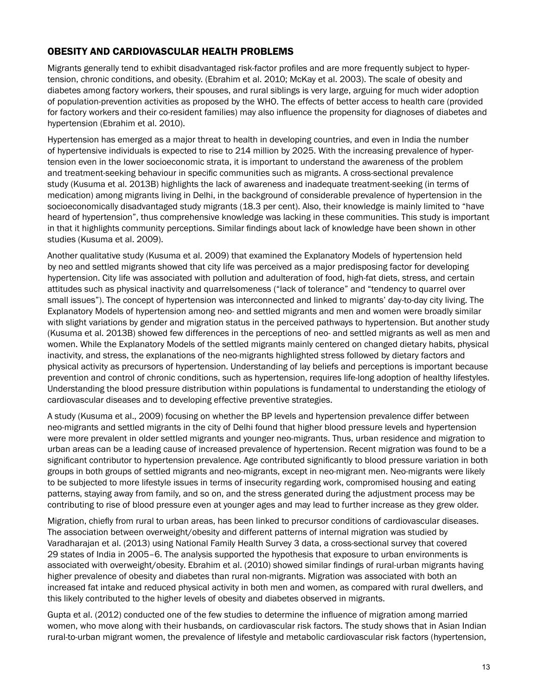#### OBESITY AND CARDIOVASCULAR HEALTH PROBLEMS

Migrants generally tend to exhibit disadvantaged risk-factor profiles and are more frequently subject to hypertension, chronic conditions, and obesity. (Ebrahim et al. 2010; McKay et al. 2003). The scale of obesity and diabetes among factory workers, their spouses, and rural siblings is very large, arguing for much wider adoption of population-prevention activities as proposed by the WHO. The effects of better access to health care (provided for factory workers and their co-resident families) may also influence the propensity for diagnoses of diabetes and hypertension (Ebrahim et al. 2010).

Hypertension has emerged as a major threat to health in developing countries, and even in India the number of hypertensive individuals is expected to rise to 214 million by 2025. With the increasing prevalence of hypertension even in the lower socioeconomic strata, it is important to understand the awareness of the problem and treatment-seeking behaviour in specific communities such as migrants. A cross-sectional prevalence study (Kusuma et al. 2013B) highlights the lack of awareness and inadequate treatment-seeking (in terms of medication) among migrants living in Delhi, in the background of considerable prevalence of hypertension in the socioeconomically disadvantaged study migrants (18.3 per cent). Also, their knowledge is mainly limited to "have heard of hypertension", thus comprehensive knowledge was lacking in these communities. This study is important in that it highlights community perceptions. Similar findings about lack of knowledge have been shown in other studies (Kusuma et al. 2009).

Another qualitative study (Kusuma et al. 2009) that examined the Explanatory Models of hypertension held by neo and settled migrants showed that city life was perceived as a major predisposing factor for developing hypertension. City life was associated with pollution and adulteration of food, high-fat diets, stress, and certain attitudes such as physical inactivity and quarrelsomeness ("lack of tolerance" and "tendency to quarrel over small issues"). The concept of hypertension was interconnected and linked to migrants' day-to-day city living. The Explanatory Models of hypertension among neo- and settled migrants and men and women were broadly similar with slight variations by gender and migration status in the perceived pathways to hypertension. But another study (Kusuma et al. 2013B) showed few differences in the perceptions of neo- and settled migrants as well as men and women. While the Explanatory Models of the settled migrants mainly centered on changed dietary habits, physical inactivity, and stress, the explanations of the neo-migrants highlighted stress followed by dietary factors and physical activity as precursors of hypertension. Understanding of lay beliefs and perceptions is important because prevention and control of chronic conditions, such as hypertension, requires life-long adoption of healthy lifestyles. Understanding the blood pressure distribution within populations is fundamental to understanding the etiology of cardiovascular diseases and to developing effective preventive strategies.

A study (Kusuma et al., 2009) focusing on whether the BP levels and hypertension prevalence differ between neo-migrants and settled migrants in the city of Delhi found that higher blood pressure levels and hypertension were more prevalent in older settled migrants and younger neo-migrants. Thus, urban residence and migration to urban areas can be a leading cause of increased prevalence of hypertension. Recent migration was found to be a significant contributor to hypertension prevalence. Age contributed significantly to blood pressure variation in both groups in both groups of settled migrants and neo-migrants, except in neo-migrant men. Neo-migrants were likely to be subjected to more lifestyle issues in terms of insecurity regarding work, compromised housing and eating patterns, staying away from family, and so on, and the stress generated during the adjustment process may be contributing to rise of blood pressure even at younger ages and may lead to further increase as they grew older.

Migration, chiefly from rural to urban areas, has been linked to precursor conditions of cardiovascular diseases. The association between overweight/obesity and different patterns of internal migration was studied by Varadharajan et al. (2013) using National Family Health Survey 3 data, a cross-sectional survey that covered 29 states of India in 2005–6. The analysis supported the hypothesis that exposure to urban environments is associated with overweight/obesity. Ebrahim et al. (2010) showed similar findings of rural-urban migrants having higher prevalence of obesity and diabetes than rural non-migrants. Migration was associated with both an increased fat intake and reduced physical activity in both men and women, as compared with rural dwellers, and this likely contributed to the higher levels of obesity and diabetes observed in migrants.

Gupta et al. (2012) conducted one of the few studies to determine the influence of migration among married women, who move along with their husbands, on cardiovascular risk factors. The study shows that in Asian Indian rural-to-urban migrant women, the prevalence of lifestyle and metabolic cardiovascular risk factors (hypertension,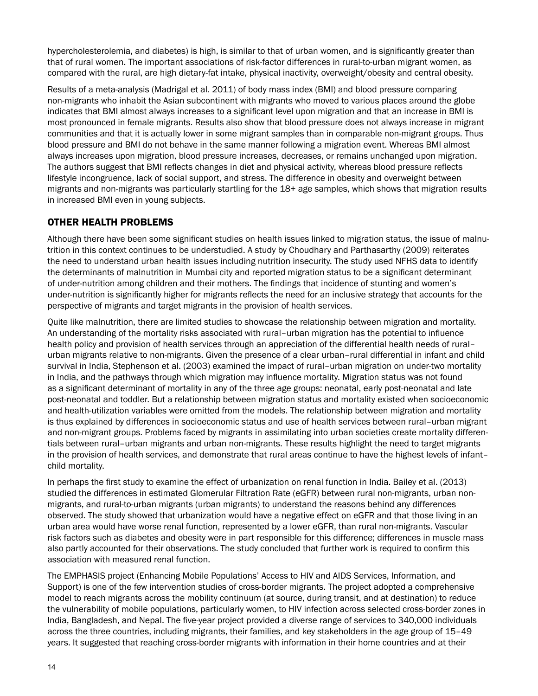hypercholesterolemia, and diabetes) is high, is similar to that of urban women, and is significantly greater than that of rural women. The important associations of risk-factor differences in rural-to-urban migrant women, as compared with the rural, are high dietary-fat intake, physical inactivity, overweight/obesity and central obesity.

Results of a meta-analysis (Madrigal et al. 2011) of body mass index (BMI) and blood pressure comparing non-migrants who inhabit the Asian subcontinent with migrants who moved to various places around the globe indicates that BMI almost always increases to a significant level upon migration and that an increase in BMI is most pronounced in female migrants. Results also show that blood pressure does not always increase in migrant communities and that it is actually lower in some migrant samples than in comparable non-migrant groups. Thus blood pressure and BMI do not behave in the same manner following a migration event. Whereas BMI almost always increases upon migration, blood pressure increases, decreases, or remains unchanged upon migration. The authors suggest that BMI reflects changes in diet and physical activity, whereas blood pressure reflects lifestyle incongruence, lack of social support, and stress. The difference in obesity and overweight between migrants and non-migrants was particularly startling for the 18+ age samples, which shows that migration results in increased BMI even in young subjects.

#### OTHER HEALTH PROBLEMS

Although there have been some significant studies on health issues linked to migration status, the issue of malnutrition in this context continues to be understudied. A study by Choudhary and Parthasarthy (2009) reiterates the need to understand urban health issues including nutrition insecurity. The study used NFHS data to identify the determinants of malnutrition in Mumbai city and reported migration status to be a significant determinant of under-nutrition among children and their mothers. The findings that incidence of stunting and women's under-nutrition is significantly higher for migrants reflects the need for an inclusive strategy that accounts for the perspective of migrants and target migrants in the provision of health services.

Quite like malnutrition, there are limited studies to showcase the relationship between migration and mortality. An understanding of the mortality risks associated with rural–urban migration has the potential to influence health policy and provision of health services through an appreciation of the differential health needs of rural– urban migrants relative to non-migrants. Given the presence of a clear urban–rural differential in infant and child survival in India, Stephenson et al. (2003) examined the impact of rural–urban migration on under-two mortality in India, and the pathways through which migration may influence mortality. Migration status was not found as a significant determinant of mortality in any of the three age groups: neonatal, early post-neonatal and late post-neonatal and toddler. But a relationship between migration status and mortality existed when socioeconomic and health-utilization variables were omitted from the models. The relationship between migration and mortality is thus explained by differences in socioeconomic status and use of health services between rural–urban migrant and non-migrant groups. Problems faced by migrants in assimilating into urban societies create mortality differentials between rural–urban migrants and urban non-migrants. These results highlight the need to target migrants in the provision of health services, and demonstrate that rural areas continue to have the highest levels of infant– child mortality.

In perhaps the first study to examine the effect of urbanization on renal function in India. Bailey et al. (2013) studied the differences in estimated Glomerular Filtration Rate (eGFR) between rural non-migrants, urban nonmigrants, and rural-to-urban migrants (urban migrants) to understand the reasons behind any differences observed. The study showed that urbanization would have a negative effect on eGFR and that those living in an urban area would have worse renal function, represented by a lower eGFR, than rural non-migrants. Vascular risk factors such as diabetes and obesity were in part responsible for this difference; differences in muscle mass also partly accounted for their observations. The study concluded that further work is required to confirm this association with measured renal function.

The EMPHASIS project (Enhancing Mobile Populations' Access to HIV and AIDS Services, Information, and Support) is one of the few intervention studies of cross-border migrants. The project adopted a comprehensive model to reach migrants across the mobility continuum (at source, during transit, and at destination) to reduce the vulnerability of mobile populations, particularly women, to HIV infection across selected cross-border zones in India, Bangladesh, and Nepal. The five-year project provided a diverse range of services to 340,000 individuals across the three countries, including migrants, their families, and key stakeholders in the age group of 15–49 years. It suggested that reaching cross-border migrants with information in their home countries and at their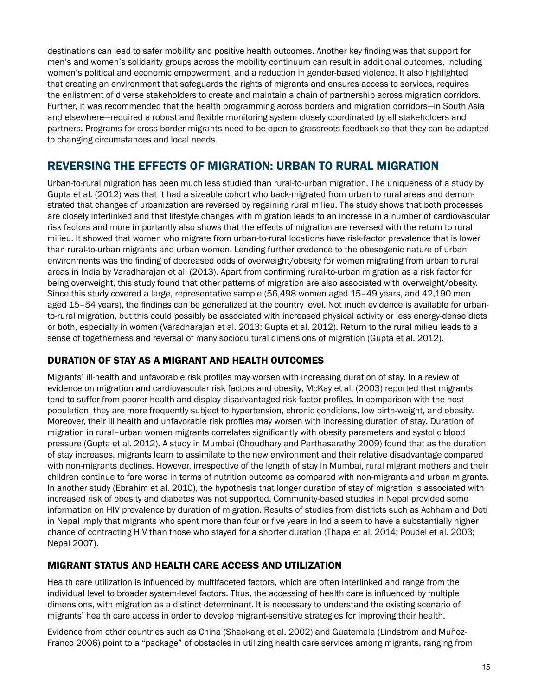destinations can lead to safer mobility and positive health outcomes. Another key finding was that support for men's and women's solidarity groups across the mobility continuum can result in additional outcomes, including women's political and economic empowerment, and a reduction in gender-based violence. It also highlighted that creating an environment that safeguards the rights of migrants and ensures access to services, requires the enlistment of diverse stakeholders to create and maintain a chain of partnership across migration corridors. Further, it was recommended that the health programming across borders and migration corridors—in South Asia and elsewhere—required a robust and flexible monitoring system closely coordinated by all stakeholders and partners. Programs for cross-border migrants need to be open to grassroots feedback so that they can be adapted to changing circumstances and local needs.

# Reversing the Effects of Migration: Urban to Rural Migration

Urban-to-rural migration has been much less studied than rural-to-urban migration. The uniqueness of a study by Gupta et al. (2012) was that it had a sizeable cohort who back-migrated from urban to rural areas and demonstrated that changes of urbanization are reversed by regaining rural milieu. The study shows that both processes are closely interlinked and that lifestyle changes with migration leads to an increase in a number of cardiovascular risk factors and more importantly also shows that the effects of migration are reversed with the return to rural milieu. It showed that women who migrate from urban-to-rural locations have risk-factor prevalence that is lower than rural-to-urban migrants and urban women. Lending further credence to the obesogenic nature of urban environments was the finding of decreased odds of overweight/obesity for women migrating from urban to rural areas in India by Varadharajan et al. (2013). Apart from confirming rural-to-urban migration as a risk factor for being overweight, this study found that other patterns of migration are also associated with overweight/obesity. Since this study covered a large, representative sample (56,498 women aged 15–49 years, and 42,190 men aged 15–54 years), the findings can be generalized at the country level. Not much evidence is available for urbanto-rural migration, but this could possibly be associated with increased physical activity or less energy-dense diets or both, especially in women (Varadharajan et al. 2013; Gupta et al. 2012). Return to the rural milieu leads to a sense of togetherness and reversal of many sociocultural dimensions of migration (Gupta et al. 2012).

#### DURATION OF STAY AS A MIGRANT AND HEALTH OUTCOMES

Migrants' ill-health and unfavorable risk profiles may worsen with increasing duration of stay. In a review of evidence on migration and cardiovascular risk factors and obesity, McKay et al. (2003) reported that migrants tend to suffer from poorer health and display disadvantaged risk-factor profiles. In comparison with the host population, they are more frequently subject to hypertension, chronic conditions, low birth-weight, and obesity. Moreover, their ill health and unfavorable risk profiles may worsen with increasing duration of stay. Duration of migration in rural–urban women migrants correlates significantly with obesity parameters and systolic blood pressure (Gupta et al. 2012). A study in Mumbai (Choudhary and Parthasarathy 2009) found that as the duration of stay increases, migrants learn to assimilate to the new environment and their relative disadvantage compared with non-migrants declines. However, irrespective of the length of stay in Mumbai, rural migrant mothers and their children continue to fare worse in terms of nutrition outcome as compared with non-migrants and urban migrants. In another study (Ebrahim et al. 2010), the hypothesis that longer duration of stay of migration is associated with increased risk of obesity and diabetes was not supported. Community-based studies in Nepal provided some information on HIV prevalence by duration of migration. Results of studies from districts such as Achham and Doti in Nepal imply that migrants who spent more than four or five years in India seem to have a substantially higher chance of contracting HIV than those who stayed for a shorter duration (Thapa et al. 2014; Poudel et al. 2003; Nepal 2007).

#### MIGRANT STATUS AND HEALTH CARE ACCESS AND UTILIZATION

Health care utilization is influenced by multifaceted factors, which are often interlinked and range from the individual level to broader system-level factors. Thus, the accessing of health care is influenced by multiple dimensions, with migration as a distinct determinant. It is necessary to understand the existing scenario of migrants' health care access in order to develop migrant-sensitive strategies for improving their health.

Evidence from other countries such as China (Shaokang et al. 2002) and Guatemala (Lindstrom and Muñoz-Franco 2006) point to a "package" of obstacles in utilizing health care services among migrants, ranging from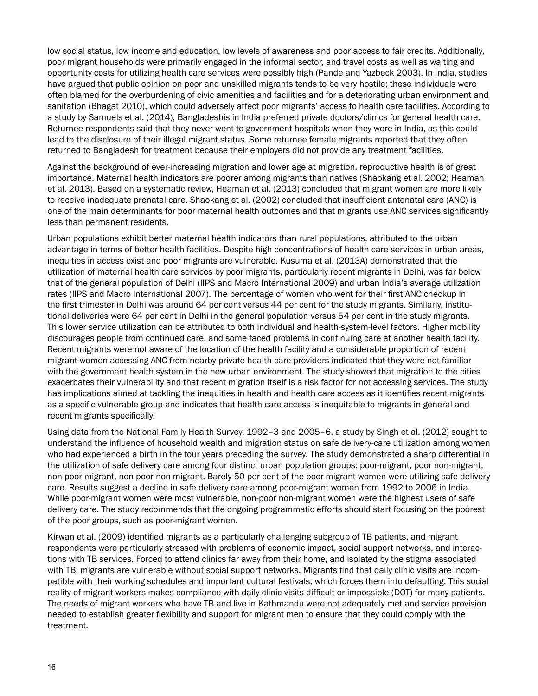low social status, low income and education, low levels of awareness and poor access to fair credits. Additionally, poor migrant households were primarily engaged in the informal sector, and travel costs as well as waiting and opportunity costs for utilizing health care services were possibly high (Pande and Yazbeck 2003). In India, studies have argued that public opinion on poor and unskilled migrants tends to be very hostile; these individuals were often blamed for the overburdening of civic amenities and facilities and for a deteriorating urban environment and sanitation (Bhagat 2010), which could adversely affect poor migrants' access to health care facilities. According to a study by Samuels et al. (2014), Bangladeshis in India preferred private doctors/clinics for general health care. Returnee respondents said that they never went to government hospitals when they were in India, as this could lead to the disclosure of their illegal migrant status. Some returnee female migrants reported that they often returned to Bangladesh for treatment because their employers did not provide any treatment facilities.

Against the background of ever-increasing migration and lower age at migration, reproductive health is of great importance. Maternal health indicators are poorer among migrants than natives (Shaokang et al. 2002; Heaman et al. 2013). Based on a systematic review, Heaman et al. (2013) concluded that migrant women are more likely to receive inadequate prenatal care. Shaokang et al. (2002) concluded that insufficient antenatal care (ANC) is one of the main determinants for poor maternal health outcomes and that migrants use ANC services significantly less than permanent residents.

Urban populations exhibit better maternal health indicators than rural populations, attributed to the urban advantage in terms of better health facilities. Despite high concentrations of health care services in urban areas, inequities in access exist and poor migrants are vulnerable. Kusuma et al. (2013A) demonstrated that the utilization of maternal health care services by poor migrants, particularly recent migrants in Delhi, was far below that of the general population of Delhi (IIPS and Macro International 2009) and urban India's average utilization rates (IIPS and Macro International 2007). The percentage of women who went for their first ANC checkup in the first trimester in Delhi was around 64 per cent versus 44 per cent for the study migrants. Similarly, institutional deliveries were 64 per cent in Delhi in the general population versus 54 per cent in the study migrants. This lower service utilization can be attributed to both individual and health-system-level factors. Higher mobility discourages people from continued care, and some faced problems in continuing care at another health facility. Recent migrants were not aware of the location of the health facility and a considerable proportion of recent migrant women accessing ANC from nearby private health care providers indicated that they were not familiar with the government health system in the new urban environment. The study showed that migration to the cities exacerbates their vulnerability and that recent migration itself is a risk factor for not accessing services. The study has implications aimed at tackling the inequities in health and health care access as it identifies recent migrants as a specific vulnerable group and indicates that health care access is inequitable to migrants in general and recent migrants specifically.

Using data from the National Family Health Survey, 1992–3 and 2005–6, a study by Singh et al. (2012) sought to understand the influence of household wealth and migration status on safe delivery-care utilization among women who had experienced a birth in the four years preceding the survey. The study demonstrated a sharp differential in the utilization of safe delivery care among four distinct urban population groups: poor-migrant, poor non-migrant, non-poor migrant, non-poor non-migrant. Barely 50 per cent of the poor-migrant women were utilizing safe delivery care. Results suggest a decline in safe delivery care among poor-migrant women from 1992 to 2006 in India. While poor-migrant women were most vulnerable, non-poor non-migrant women were the highest users of safe delivery care. The study recommends that the ongoing programmatic efforts should start focusing on the poorest of the poor groups, such as poor-migrant women.

Kirwan et al. (2009) identified migrants as a particularly challenging subgroup of TB patients, and migrant respondents were particularly stressed with problems of economic impact, social support networks, and interactions with TB services. Forced to attend clinics far away from their home, and isolated by the stigma associated with TB, migrants are vulnerable without social support networks. Migrants find that daily clinic visits are incompatible with their working schedules and important cultural festivals, which forces them into defaulting. This social reality of migrant workers makes compliance with daily clinic visits difficult or impossible (DOT) for many patients. The needs of migrant workers who have TB and live in Kathmandu were not adequately met and service provision needed to establish greater flexibility and support for migrant men to ensure that they could comply with the treatment.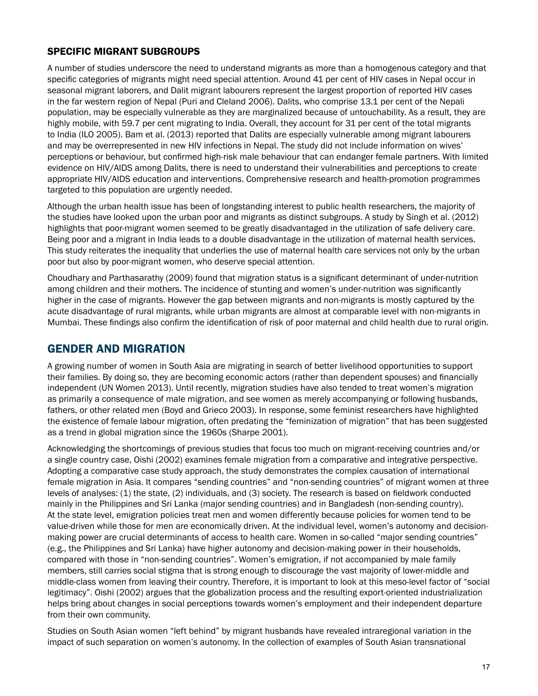#### SPECIFIC MIGRANT SUBGROUPS

A number of studies underscore the need to understand migrants as more than a homogenous category and that specific categories of migrants might need special attention. Around 41 per cent of HIV cases in Nepal occur in seasonal migrant laborers, and Dalit migrant labourers represent the largest proportion of reported HIV cases in the far western region of Nepal (Puri and Cleland 2006). Dalits, who comprise 13.1 per cent of the Nepali population, may be especially vulnerable as they are marginalized because of untouchability. As a result, they are highly mobile, with 59.7 per cent migrating to India. Overall, they account for 31 per cent of the total migrants to India (ILO 2005). Bam et al. (2013) reported that Dalits are especially vulnerable among migrant labourers and may be overrepresented in new HIV infections in Nepal. The study did not include information on wives' perceptions or behaviour, but confirmed high-risk male behaviour that can endanger female partners. With limited evidence on HIV/AIDS among Dalits, there is need to understand their vulnerabilities and perceptions to create appropriate HIV/AIDS education and interventions. Comprehensive research and health-promotion programmes targeted to this population are urgently needed.

Although the urban health issue has been of longstanding interest to public health researchers, the majority of the studies have looked upon the urban poor and migrants as distinct subgroups. A study by Singh et al. (2012) highlights that poor-migrant women seemed to be greatly disadvantaged in the utilization of safe delivery care. Being poor and a migrant in India leads to a double disadvantage in the utilization of maternal health services. This study reiterates the inequality that underlies the use of maternal health care services not only by the urban poor but also by poor-migrant women, who deserve special attention.

Choudhary and Parthasarathy (2009) found that migration status is a significant determinant of under-nutrition among children and their mothers. The incidence of stunting and women's under-nutrition was significantly higher in the case of migrants. However the gap between migrants and non-migrants is mostly captured by the acute disadvantage of rural migrants, while urban migrants are almost at comparable level with non-migrants in Mumbai. These findings also confirm the identification of risk of poor maternal and child health due to rural origin.

### Gender and Migration

A growing number of women in South Asia are migrating in search of better livelihood opportunities to support their families. By doing so, they are becoming economic actors (rather than dependent spouses) and financially independent (UN Women 2013). Until recently, migration studies have also tended to treat women's migration as primarily a consequence of male migration, and see women as merely accompanying or following husbands, fathers, or other related men (Boyd and Grieco 2003). In response, some feminist researchers have highlighted the existence of female labour migration, often predating the "feminization of migration" that has been suggested as a trend in global migration since the 1960s (Sharpe 2001).

Acknowledging the shortcomings of previous studies that focus too much on migrant-receiving countries and/or a single country case, Oishi (2002) examines female migration from a comparative and integrative perspective. Adopting a comparative case study approach, the study demonstrates the complex causation of international female migration in Asia. It compares "sending countries" and "non-sending countries" of migrant women at three levels of analyses: (1) the state, (2) individuals, and (3) society. The research is based on fieldwork conducted mainly in the Philippines and Sri Lanka (major sending countries) and in Bangladesh (non-sending country). At the state level, emigration policies treat men and women differently because policies for women tend to be value-driven while those for men are economically driven. At the individual level, women's autonomy and decisionmaking power are crucial determinants of access to health care. Women in so-called "major sending countries" (e.g., the Philippines and Sri Lanka) have higher autonomy and decision-making power in their households, compared with those in "non-sending countries". Women's emigration, if not accompanied by male family members, still carries social stigma that is strong enough to discourage the vast majority of lower-middle and middle-class women from leaving their country. Therefore, it is important to look at this meso-level factor of "social legitimacy". Oishi (2002) argues that the globalization process and the resulting export-oriented industrialization helps bring about changes in social perceptions towards women's employment and their independent departure from their own community.

Studies on South Asian women "left behind" by migrant husbands have revealed intraregional variation in the impact of such separation on women's autonomy. In the collection of examples of South Asian transnational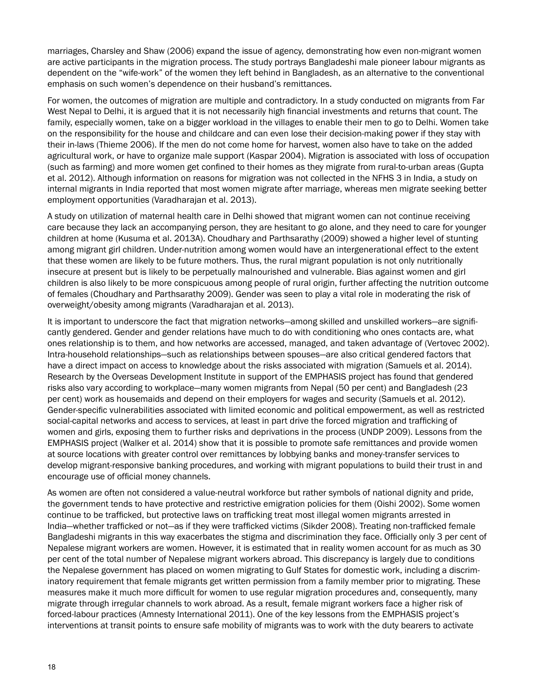marriages, Charsley and Shaw (2006) expand the issue of agency, demonstrating how even non-migrant women are active participants in the migration process. The study portrays Bangladeshi male pioneer labour migrants as dependent on the "wife-work" of the women they left behind in Bangladesh, as an alternative to the conventional emphasis on such women's dependence on their husband's remittances.

For women, the outcomes of migration are multiple and contradictory. In a study conducted on migrants from Far West Nepal to Delhi, it is argued that it is not necessarily high financial investments and returns that count. The family, especially women, take on a bigger workload in the villages to enable their men to go to Delhi. Women take on the responsibility for the house and childcare and can even lose their decision-making power if they stay with their in-laws (Thieme 2006). If the men do not come home for harvest, women also have to take on the added agricultural work, or have to organize male support (Kaspar 2004). Migration is associated with loss of occupation (such as farming) and more women get confined to their homes as they migrate from rural-to-urban areas (Gupta et al. 2012). Although information on reasons for migration was not collected in the NFHS 3 in India, a study on internal migrants in India reported that most women migrate after marriage, whereas men migrate seeking better employment opportunities (Varadharajan et al. 2013).

A study on utilization of maternal health care in Delhi showed that migrant women can not continue receiving care because they lack an accompanying person, they are hesitant to go alone, and they need to care for younger children at home (Kusuma et al. 2013A). Choudhary and Parthsarathy (2009) showed a higher level of stunting among migrant girl children. Under-nutrition among women would have an intergenerational effect to the extent that these women are likely to be future mothers. Thus, the rural migrant population is not only nutritionally insecure at present but is likely to be perpetually malnourished and vulnerable. Bias against women and girl children is also likely to be more conspicuous among people of rural origin, further affecting the nutrition outcome of females (Choudhary and Parthsarathy 2009). Gender was seen to play a vital role in moderating the risk of overweight/obesity among migrants (Varadharajan et al. 2013).

It is important to underscore the fact that migration networks—among skilled and unskilled workers—are significantly gendered. Gender and gender relations have much to do with conditioning who ones contacts are, what ones relationship is to them, and how networks are accessed, managed, and taken advantage of (Vertovec 2002). Intra-household relationships—such as relationships between spouses—are also critical gendered factors that have a direct impact on access to knowledge about the risks associated with migration (Samuels et al. 2014). Research by the Overseas Development Institute in support of the EMPHASIS project has found that gendered risks also vary according to workplace—many women migrants from Nepal (50 per cent) and Bangladesh (23 per cent) work as housemaids and depend on their employers for wages and security (Samuels et al. 2012). Gender-specific vulnerabilities associated with limited economic and political empowerment, as well as restricted social-capital networks and access to services, at least in part drive the forced migration and trafficking of women and girls, exposing them to further risks and deprivations in the process (UNDP 2009). Lessons from the EMPHASIS project (Walker et al. 2014) show that it is possible to promote safe remittances and provide women at source locations with greater control over remittances by lobbying banks and money-transfer services to develop migrant-responsive banking procedures, and working with migrant populations to build their trust in and encourage use of official money channels.

As women are often not considered a value-neutral workforce but rather symbols of national dignity and pride, the government tends to have protective and restrictive emigration policies for them (Oishi 2002). Some women continue to be trafficked, but protective laws on trafficking treat most illegal women migrants arrested in India—whether trafficked or not—as if they were trafficked victims (Sikder 2008). Treating non-trafficked female Bangladeshi migrants in this way exacerbates the stigma and discrimination they face. Officially only 3 per cent of Nepalese migrant workers are women. However, it is estimated that in reality women account for as much as 30 per cent of the total number of Nepalese migrant workers abroad. This discrepancy is largely due to conditions the Nepalese government has placed on women migrating to Gulf States for domestic work, including a discriminatory requirement that female migrants get written permission from a family member prior to migrating. These measures make it much more difficult for women to use regular migration procedures and, consequently, many migrate through irregular channels to work abroad. As a result, female migrant workers face a higher risk of forced-labour practices (Amnesty International 2011). One of the key lessons from the EMPHASIS project's interventions at transit points to ensure safe mobility of migrants was to work with the duty bearers to activate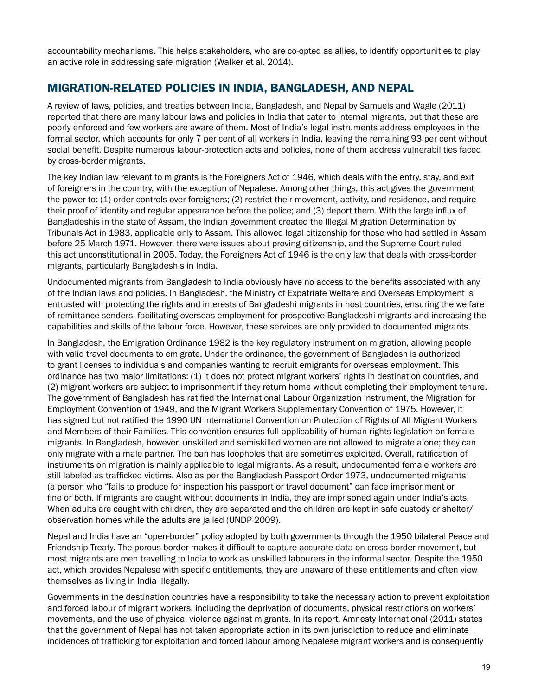accountability mechanisms. This helps stakeholders, who are co-opted as allies, to identify opportunities to play an active role in addressing safe migration (Walker et al. 2014).

# Migration-Related Policies in India, Bangladesh, and Nepal

A review of laws, policies, and treaties between India, Bangladesh, and Nepal by Samuels and Wagle (2011) reported that there are many labour laws and policies in India that cater to internal migrants, but that these are poorly enforced and few workers are aware of them. Most of India's legal instruments address employees in the formal sector, which accounts for only 7 per cent of all workers in India, leaving the remaining 93 per cent without social benefit. Despite numerous labour-protection acts and policies, none of them address vulnerabilities faced by cross-border migrants.

The key Indian law relevant to migrants is the Foreigners Act of 1946, which deals with the entry, stay, and exit of foreigners in the country, with the exception of Nepalese. Among other things, this act gives the government the power to: (1) order controls over foreigners; (2) restrict their movement, activity, and residence, and require their proof of identity and regular appearance before the police; and (3) deport them. With the large influx of Bangladeshis in the state of Assam, the Indian government created the Illegal Migration Determination by Tribunals Act in 1983, applicable only to Assam. This allowed legal citizenship for those who had settled in Assam before 25 March 1971. However, there were issues about proving citizenship, and the Supreme Court ruled this act unconstitutional in 2005. Today, the Foreigners Act of 1946 is the only law that deals with cross-border migrants, particularly Bangladeshis in India.

Undocumented migrants from Bangladesh to India obviously have no access to the benefits associated with any of the Indian laws and policies. In Bangladesh, the Ministry of Expatriate Welfare and Overseas Employment is entrusted with protecting the rights and interests of Bangladeshi migrants in host countries, ensuring the welfare of remittance senders, facilitating overseas employment for prospective Bangladeshi migrants and increasing the capabilities and skills of the labour force. However, these services are only provided to documented migrants.

In Bangladesh, the Emigration Ordinance 1982 is the key regulatory instrument on migration, allowing people with valid travel documents to emigrate. Under the ordinance, the government of Bangladesh is authorized to grant licenses to individuals and companies wanting to recruit emigrants for overseas employment. This ordinance has two major limitations: (1) it does not protect migrant workers' rights in destination countries, and (2) migrant workers are subject to imprisonment if they return home without completing their employment tenure. The government of Bangladesh has ratified the International Labour Organization instrument, the Migration for Employment Convention of 1949, and the Migrant Workers Supplementary Convention of 1975. However, it has signed but not ratified the 1990 UN International Convention on Protection of Rights of All Migrant Workers and Members of their Families. This convention ensures full applicability of human rights legislation on female migrants. In Bangladesh, however, unskilled and semiskilled women are not allowed to migrate alone; they can only migrate with a male partner. The ban has loopholes that are sometimes exploited. Overall, ratification of instruments on migration is mainly applicable to legal migrants. As a result, undocumented female workers are still labeled as trafficked victims. Also as per the Bangladesh Passport Order 1973, undocumented migrants (a person who "fails to produce for inspection his passport or travel document" can face imprisonment or fine or both. If migrants are caught without documents in India, they are imprisoned again under India's acts. When adults are caught with children, they are separated and the children are kept in safe custody or shelter/ observation homes while the adults are jailed (UNDP 2009).

Nepal and India have an "open-border" policy adopted by both governments through the 1950 bilateral Peace and Friendship Treaty. The porous border makes it difficult to capture accurate data on cross-border movement, but most migrants are men travelling to India to work as unskilled labourers in the informal sector. Despite the 1950 act, which provides Nepalese with specific entitlements, they are unaware of these entitlements and often view themselves as living in India illegally.

Governments in the destination countries have a responsibility to take the necessary action to prevent exploitation and forced labour of migrant workers, including the deprivation of documents, physical restrictions on workers' movements, and the use of physical violence against migrants. In its report, Amnesty International (2011) states that the government of Nepal has not taken appropriate action in its own jurisdiction to reduce and eliminate incidences of trafficking for exploitation and forced labour among Nepalese migrant workers and is consequently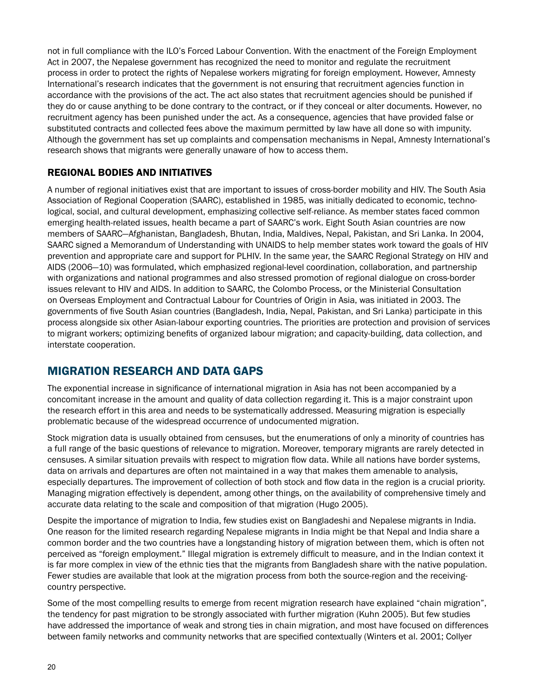not in full compliance with the ILO's Forced Labour Convention. With the enactment of the Foreign Employment Act in 2007, the Nepalese government has recognized the need to monitor and regulate the recruitment process in order to protect the rights of Nepalese workers migrating for foreign employment. However, Amnesty International's research indicates that the government is not ensuring that recruitment agencies function in accordance with the provisions of the act. The act also states that recruitment agencies should be punished if they do or cause anything to be done contrary to the contract, or if they conceal or alter documents. However, no recruitment agency has been punished under the act. As a consequence, agencies that have provided false or substituted contracts and collected fees above the maximum permitted by law have all done so with impunity. Although the government has set up complaints and compensation mechanisms in Nepal, Amnesty International's research shows that migrants were generally unaware of how to access them.

#### REGIONAL BODIES AND INITIATIVES

A number of regional initiatives exist that are important to issues of cross-border mobility and HIV. The South Asia Association of Regional Cooperation (SAARC), established in 1985, was initially dedicated to economic, technological, social, and cultural development, emphasizing collective self-reliance. As member states faced common emerging health-related issues, health became a part of SAARC's work. Eight South Asian countries are now members of SAARC—Afghanistan, Bangladesh, Bhutan, India, Maldives, Nepal, Pakistan, and Sri Lanka. In 2004, SAARC signed a Memorandum of Understanding with UNAIDS to help member states work toward the goals of HIV prevention and appropriate care and support for PLHIV. In the same year, the SAARC Regional Strategy on HIV and AIDS (2006—10) was formulated, which emphasized regional-level coordination, collaboration, and partnership with organizations and national programmes and also stressed promotion of regional dialogue on cross-border issues relevant to HIV and AIDS. In addition to SAARC, the Colombo Process, or the Ministerial Consultation on Overseas Employment and Contractual Labour for Countries of Origin in Asia, was initiated in 2003. The governments of five South Asian countries (Bangladesh, India, Nepal, Pakistan, and Sri Lanka) participate in this process alongside six other Asian-labour exporting countries. The priorities are protection and provision of services to migrant workers; optimizing benefits of organized labour migration; and capacity-building, data collection, and interstate cooperation.

# Migration Research and Data Gaps

The exponential increase in significance of international migration in Asia has not been accompanied by a concomitant increase in the amount and quality of data collection regarding it. This is a major constraint upon the research effort in this area and needs to be systematically addressed. Measuring migration is especially problematic because of the widespread occurrence of undocumented migration.

Stock migration data is usually obtained from censuses, but the enumerations of only a minority of countries has a full range of the basic questions of relevance to migration. Moreover, temporary migrants are rarely detected in censuses. A similar situation prevails with respect to migration flow data. While all nations have border systems, data on arrivals and departures are often not maintained in a way that makes them amenable to analysis, especially departures. The improvement of collection of both stock and flow data in the region is a crucial priority. Managing migration effectively is dependent, among other things, on the availability of comprehensive timely and accurate data relating to the scale and composition of that migration (Hugo 2005).

Despite the importance of migration to India, few studies exist on Bangladeshi and Nepalese migrants in India. One reason for the limited research regarding Nepalese migrants in India might be that Nepal and India share a common border and the two countries have a longstanding history of migration between them, which is often not perceived as "foreign employment." Illegal migration is extremely difficult to measure, and in the Indian context it is far more complex in view of the ethnic ties that the migrants from Bangladesh share with the native population. Fewer studies are available that look at the migration process from both the source-region and the receivingcountry perspective.

Some of the most compelling results to emerge from recent migration research have explained "chain migration", the tendency for past migration to be strongly associated with further migration (Kuhn 2005). But few studies have addressed the importance of weak and strong ties in chain migration, and most have focused on differences between family networks and community networks that are specified contextually (Winters et al. 2001; Collyer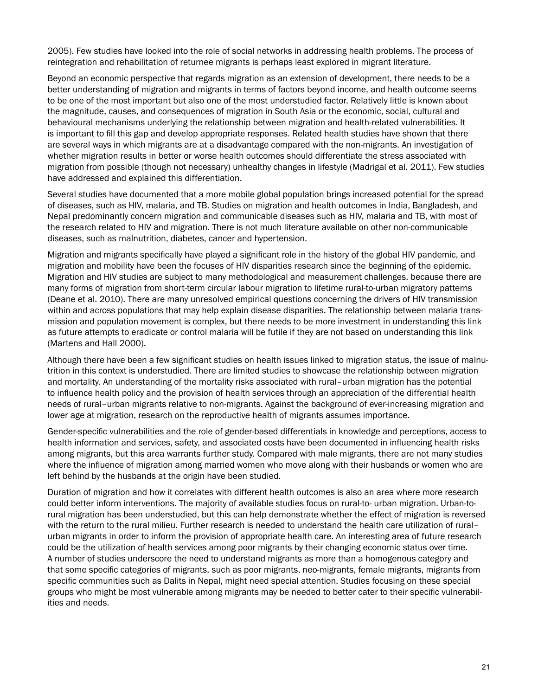2005). Few studies have looked into the role of social networks in addressing health problems. The process of reintegration and rehabilitation of returnee migrants is perhaps least explored in migrant literature.

Beyond an economic perspective that regards migration as an extension of development, there needs to be a better understanding of migration and migrants in terms of factors beyond income, and health outcome seems to be one of the most important but also one of the most understudied factor. Relatively little is known about the magnitude, causes, and consequences of migration in South Asia or the economic, social, cultural and behavioural mechanisms underlying the relationship between migration and health-related vulnerabilities. It is important to fill this gap and develop appropriate responses. Related health studies have shown that there are several ways in which migrants are at a disadvantage compared with the non-migrants. An investigation of whether migration results in better or worse health outcomes should differentiate the stress associated with migration from possible (though not necessary) unhealthy changes in lifestyle (Madrigal et al. 2011). Few studies have addressed and explained this differentiation.

Several studies have documented that a more mobile global population brings increased potential for the spread of diseases, such as HIV, malaria, and TB. Studies on migration and health outcomes in India, Bangladesh, and Nepal predominantly concern migration and communicable diseases such as HIV, malaria and TB, with most of the research related to HIV and migration. There is not much literature available on other non-communicable diseases, such as malnutrition, diabetes, cancer and hypertension.

Migration and migrants specifically have played a significant role in the history of the global HIV pandemic, and migration and mobility have been the focuses of HIV disparities research since the beginning of the epidemic. Migration and HIV studies are subject to many methodological and measurement challenges, because there are many forms of migration from short-term circular labour migration to lifetime rural-to-urban migratory patterns (Deane et al. 2010). There are many unresolved empirical questions concerning the drivers of HIV transmission within and across populations that may help explain disease disparities. The relationship between malaria transmission and population movement is complex, but there needs to be more investment in understanding this link as future attempts to eradicate or control malaria will be futile if they are not based on understanding this link (Martens and Hall 2000).

Although there have been a few significant studies on health issues linked to migration status, the issue of malnutrition in this context is understudied. There are limited studies to showcase the relationship between migration and mortality. An understanding of the mortality risks associated with rural–urban migration has the potential to influence health policy and the provision of health services through an appreciation of the differential health needs of rural–urban migrants relative to non-migrants. Against the background of ever-increasing migration and lower age at migration, research on the reproductive health of migrants assumes importance.

Gender-specific vulnerabilities and the role of gender-based differentials in knowledge and perceptions, access to health information and services, safety, and associated costs have been documented in influencing health risks among migrants, but this area warrants further study. Compared with male migrants, there are not many studies where the influence of migration among married women who move along with their husbands or women who are left behind by the husbands at the origin have been studied.

Duration of migration and how it correlates with different health outcomes is also an area where more research could better inform interventions. The majority of available studies focus on rural-to- urban migration. Urban-torural migration has been understudied, but this can help demonstrate whether the effect of migration is reversed with the return to the rural milieu. Further research is needed to understand the health care utilization of rural– urban migrants in order to inform the provision of appropriate health care. An interesting area of future research could be the utilization of health services among poor migrants by their changing economic status over time. A number of studies underscore the need to understand migrants as more than a homogenous category and that some specific categories of migrants, such as poor migrants, neo-migrants, female migrants, migrants from specific communities such as Dalits in Nepal, might need special attention. Studies focusing on these special groups who might be most vulnerable among migrants may be needed to better cater to their specific vulnerabilities and needs.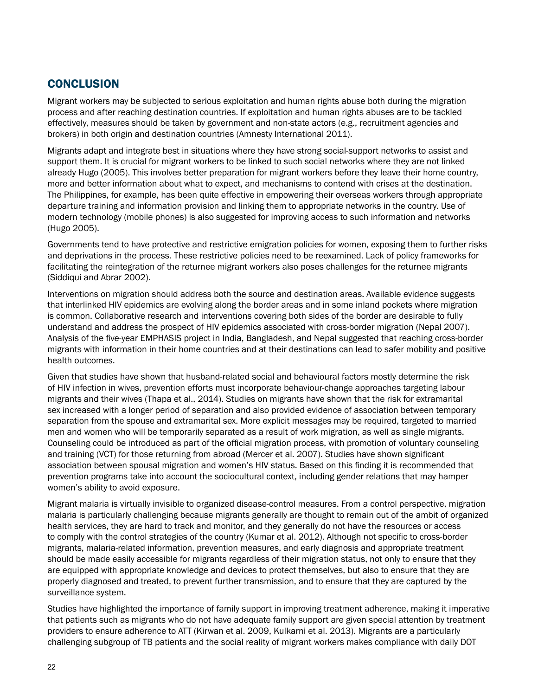# **CONCLUSION**

Migrant workers may be subjected to serious exploitation and human rights abuse both during the migration process and after reaching destination countries. If exploitation and human rights abuses are to be tackled effectively, measures should be taken by government and non-state actors (e.g., recruitment agencies and brokers) in both origin and destination countries (Amnesty International 2011).

Migrants adapt and integrate best in situations where they have strong social-support networks to assist and support them. It is crucial for migrant workers to be linked to such social networks where they are not linked already Hugo (2005). This involves better preparation for migrant workers before they leave their home country, more and better information about what to expect, and mechanisms to contend with crises at the destination. The Philippines, for example, has been quite effective in empowering their overseas workers through appropriate departure training and information provision and linking them to appropriate networks in the country. Use of modern technology (mobile phones) is also suggested for improving access to such information and networks (Hugo 2005).

Governments tend to have protective and restrictive emigration policies for women, exposing them to further risks and deprivations in the process. These restrictive policies need to be reexamined. Lack of policy frameworks for facilitating the reintegration of the returnee migrant workers also poses challenges for the returnee migrants (Siddiqui and Abrar 2002).

Interventions on migration should address both the source and destination areas. Available evidence suggests that interlinked HIV epidemics are evolving along the border areas and in some inland pockets where migration is common. Collaborative research and interventions covering both sides of the border are desirable to fully understand and address the prospect of HIV epidemics associated with cross-border migration (Nepal 2007). Analysis of the five-year EMPHASIS project in India, Bangladesh, and Nepal suggested that reaching cross-border migrants with information in their home countries and at their destinations can lead to safer mobility and positive health outcomes.

Given that studies have shown that husband-related social and behavioural factors mostly determine the risk of HIV infection in wives, prevention efforts must incorporate behaviour-change approaches targeting labour migrants and their wives (Thapa et al., 2014). Studies on migrants have shown that the risk for extramarital sex increased with a longer period of separation and also provided evidence of association between temporary separation from the spouse and extramarital sex. More explicit messages may be required, targeted to married men and women who will be temporarily separated as a result of work migration, as well as single migrants. Counseling could be introduced as part of the official migration process, with promotion of voluntary counseling and training (VCT) for those returning from abroad (Mercer et al. 2007). Studies have shown significant association between spousal migration and women's HIV status. Based on this finding it is recommended that prevention programs take into account the sociocultural context, including gender relations that may hamper women's ability to avoid exposure.

Migrant malaria is virtually invisible to organized disease-control measures. From a control perspective, migration malaria is particularly challenging because migrants generally are thought to remain out of the ambit of organized health services, they are hard to track and monitor, and they generally do not have the resources or access to comply with the control strategies of the country (Kumar et al. 2012). Although not specific to cross-border migrants, malaria-related information, prevention measures, and early diagnosis and appropriate treatment should be made easily accessible for migrants regardless of their migration status, not only to ensure that they are equipped with appropriate knowledge and devices to protect themselves, but also to ensure that they are properly diagnosed and treated, to prevent further transmission, and to ensure that they are captured by the surveillance system.

Studies have highlighted the importance of family support in improving treatment adherence, making it imperative that patients such as migrants who do not have adequate family support are given special attention by treatment providers to ensure adherence to ATT (Kirwan et al. 2009, Kulkarni et al. 2013). Migrants are a particularly challenging subgroup of TB patients and the social reality of migrant workers makes compliance with daily DOT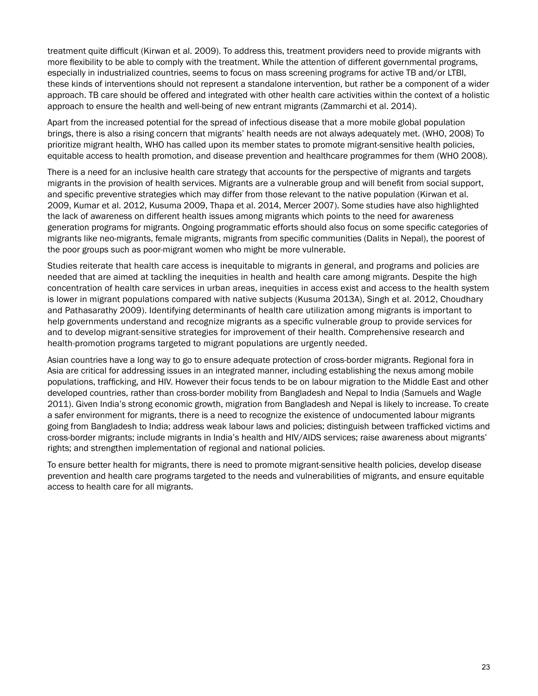treatment quite difficult (Kirwan et al. 2009). To address this, treatment providers need to provide migrants with more flexibility to be able to comply with the treatment. While the attention of different governmental programs, especially in industrialized countries, seems to focus on mass screening programs for active TB and/or LTBI, these kinds of interventions should not represent a standalone intervention, but rather be a component of a wider approach. TB care should be offered and integrated with other health care activities within the context of a holistic approach to ensure the health and well-being of new entrant migrants (Zammarchi et al. 2014).

Apart from the increased potential for the spread of infectious disease that a more mobile global population brings, there is also a rising concern that migrants' health needs are not always adequately met. (WHO, 2008) To prioritize migrant health, WHO has called upon its member states to promote migrant-sensitive health policies, equitable access to health promotion, and disease prevention and healthcare programmes for them (WHO 2008).

There is a need for an inclusive health care strategy that accounts for the perspective of migrants and targets migrants in the provision of health services. Migrants are a vulnerable group and will benefit from social support, and specific preventive strategies which may differ from those relevant to the native population (Kirwan et al. 2009, Kumar et al. 2012, Kusuma 2009, Thapa et al. 2014, Mercer 2007). Some studies have also highlighted the lack of awareness on different health issues among migrants which points to the need for awareness generation programs for migrants. Ongoing programmatic efforts should also focus on some specific categories of migrants like neo-migrants, female migrants, migrants from specific communities (Dalits in Nepal), the poorest of the poor groups such as poor-migrant women who might be more vulnerable.

Studies reiterate that health care access is inequitable to migrants in general, and programs and policies are needed that are aimed at tackling the inequities in health and health care among migrants. Despite the high concentration of health care services in urban areas, inequities in access exist and access to the health system is lower in migrant populations compared with native subjects (Kusuma 2013A), Singh et al. 2012, Choudhary and Pathasarathy 2009). Identifying determinants of health care utilization among migrants is important to help governments understand and recognize migrants as a specific vulnerable group to provide services for and to develop migrant-sensitive strategies for improvement of their health. Comprehensive research and health-promotion programs targeted to migrant populations are urgently needed.

Asian countries have a long way to go to ensure adequate protection of cross-border migrants. Regional fora in Asia are critical for addressing issues in an integrated manner, including establishing the nexus among mobile populations, trafficking, and HIV. However their focus tends to be on labour migration to the Middle East and other developed countries, rather than cross-border mobility from Bangladesh and Nepal to India (Samuels and Wagle 2011). Given India's strong economic growth, migration from Bangladesh and Nepal is likely to increase. To create a safer environment for migrants, there is a need to recognize the existence of undocumented labour migrants going from Bangladesh to India; address weak labour laws and policies; distinguish between trafficked victims and cross-border migrants; include migrants in India's health and HIV/AIDS services; raise awareness about migrants' rights; and strengthen implementation of regional and national policies.

To ensure better health for migrants, there is need to promote migrant-sensitive health policies, develop disease prevention and health care programs targeted to the needs and vulnerabilities of migrants, and ensure equitable access to health care for all migrants.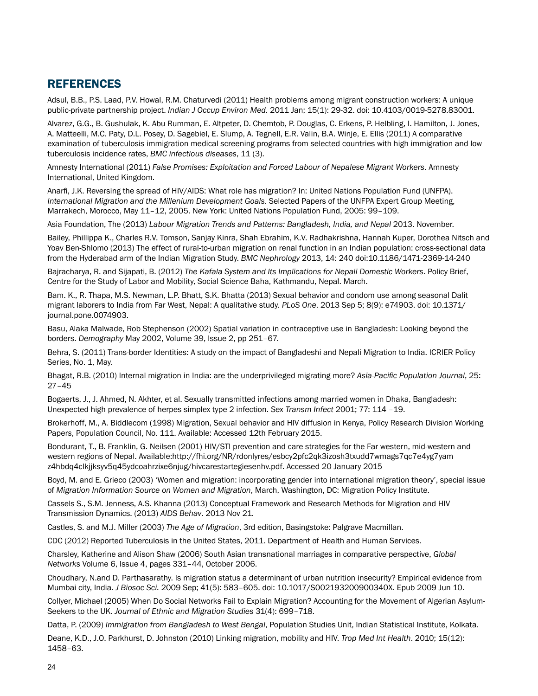# **REFERENCES**

Adsul, B.B., P.S. Laad, P.V. Howal, R.M. Chaturvedi (2011) Health problems among migrant construction workers: A unique public-private partnership project. *Indian J Occup Environ Med.* 2011 Jan; 15(1): 29-32. doi: 10.4103/0019-5278.83001.

Alvarez, G.G., B. Gushulak, K. Abu Rumman, E. Altpeter, D. Chemtob, P. Douglas, C. Erkens, P. Helbling, I. Hamilton, J. Jones, A. Matteelli, M.C. Paty, D.L. Posey, D. Sagebiel, E. Slump, A. Tegnell, E.R. Valin, B.A. Winje, E. Ellis (2011) A comparative examination of tuberculosis immigration medical screening programs from selected countries with high immigration and low tuberculosis incidence rates, *BMC infectious diseases*, 11 (3).

Amnesty International (2011) *False Promises: Exploitation and Forced Labour of Nepalese Migrant Workers*. Amnesty International, United Kingdom.

Anarfi, J.K. Reversing the spread of HIV/AIDS: What role has migration? In: United Nations Population Fund (UNFPA). *International Migration and the Millenium Development Goals*. Selected Papers of the UNFPA Expert Group Meeting, Marrakech, Morocco, May 11–12, 2005. New York: United Nations Population Fund, 2005: 99–109.

Asia Foundation, The (2013) *Labour Migration Trends and Patterns: Bangladesh, India, and Nepal* 2013. November.

Bailey, Phillippa K., Charles R.V. Tomson, Sanjay Kinra, Shah Ebrahim, K.V. Radhakrishna, Hannah Kuper, Dorothea Nitsch and Yoav Ben-Shlomo (2013) The effect of rural-to-urban migration on renal function in an Indian population: cross-sectional data from the Hyderabad arm of the Indian Migration Study. *BMC Nephrology* 2013, 14: 240 doi:10.1186/1471-2369-14-240

Bajracharya, R. and Sijapati, B. (2012) *The Kafala System and Its Implications for Nepali Domestic Workers*. Policy Brief, Centre for the Study of Labor and Mobility, Social Science Baha, Kathmandu, Nepal. March.

Bam. K., R. Thapa, M.S. Newman, L.P. Bhatt, S.K. Bhatta (2013) Sexual behavior and condom use among seasonal Dalit migrant laborers to India from Far West, Nepal: A qualitative study. *PLoS One*. 2013 Sep 5; 8(9): e74903. doi: 10.1371/ journal.pone.0074903.

Basu, Alaka Malwade, Rob Stephenson (2002) Spatial variation in contraceptive use in Bangladesh: Looking beyond the borders. *Demography* May 2002, Volume 39, Issue 2, pp 251–67.

Behra, S. (2011) Trans-border Identities: A study on the impact of Bangladeshi and Nepali Migration to India. ICRIER Policy Series, No. 1, May.

Bhagat, R.B. (2010) Internal migration in India: are the underprivileged migrating more? *Asia-Pacific Population Journal*, 25: 27–45

Bogaerts, J., J. Ahmed, N. Akhter, et al. Sexually transmitted infections among married women in Dhaka, Bangladesh: Unexpected high prevalence of herpes simplex type 2 infection. *Sex Transm Infect* 2001; 77: 114 –19.

Brokerhoff, M., A. Biddlecom (1998) Migration, Sexual behavior and HIV diffusion in Kenya, Policy Research Division Working Paper*s*, Population Council, No. 111. Available: Accessed 12th February 2015.

Bondurant, T., B. Franklin, G. Neilsen (2001) HIV/STI prevention and care strategies for the Far western, mid-western and western regions of Nepal. Available:http://fhi.org/NR/rdonlyres/esbcy2pfc2qk3izosh3txudd7wmags7qc7e4yg7yam z4hbdq4clkjjksyv5q45ydcoahrzixe6njug/hivcarestartegiesenhv.pdf. Accessed 20 January 2015

Boyd, M. and E. Grieco (2003) 'Women and migration: incorporating gender into international migration theory', special issue of *Migration Information Source on Women and Migration*, March, Washington, DC: Migration Policy Institute.

Cassels S., S.M. Jenness, A.S. Khanna (2013) Conceptual Framework and Research Methods for Migration and HIV Transmission Dynamics. (2013) *AIDS Behav*. 2013 Nov 21.

Castles, S. and M.J. Miller (2003) *The Age of Migration*, 3rd edition, Basingstoke: Palgrave Macmillan.

CDC (2012) Reported Tuberculosis in the United States, 2011. Department of Health and Human Services.

Charsley, Katherine and Alison Shaw (2006) South Asian transnational marriages in comparative perspective, *Global Networks* Volume 6, Issue 4, pages 331–44, October 2006.

Choudhary, N.and D. Parthasarathy. Is migration status a determinant of urban nutrition insecurity? Empirical evidence from Mumbai city, India. *J Biosoc Sci.* 2009 Sep; 41(5): 583–605. doi: 10.1017/S002193200900340X. Epub 2009 Jun 10.

Collyer, Michael (2005) When Do Social Networks Fail to Explain Migration? Accounting for the Movement of Algerian Asylum-Seekers to the UK. *Journal of Ethnic and Migration Studies* 31(4): 699–718.

Datta, P. (2009) *Immigration from Bangladesh to West Bengal*, Population Studies Unit, Indian Statistical Institute, Kolkata.

Deane, K.D., J.O. Parkhurst, D. Johnston (2010) Linking migration, mobility and HIV. *Trop Med Int Health*. 2010; 15(12): 1458–63.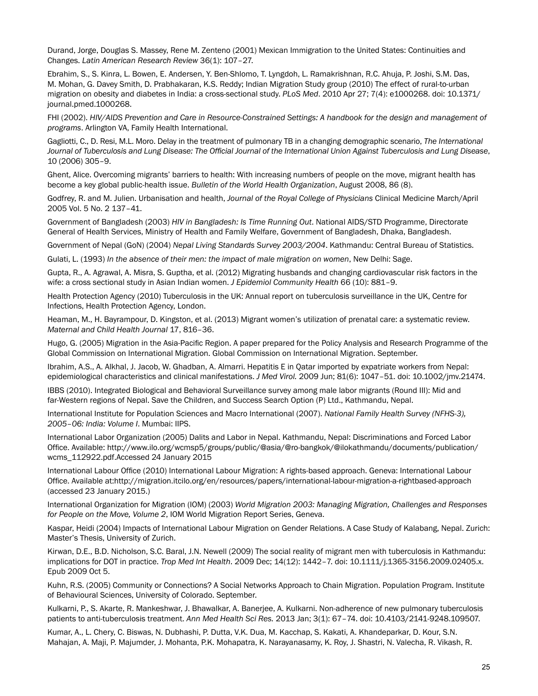Durand, Jorge, Douglas S. Massey, Rene M. Zenteno (2001) Mexican Immigration to the United States: Continuities and Changes. *Latin American Research Review* 36(1): 107–27.

Ebrahim, S., S. Kinra, L. Bowen, E. Andersen, Y. Ben-Shlomo, T. Lyngdoh, L. Ramakrishnan, R.C. Ahuja, P. Joshi, S.M. Das, M. Mohan, G. Davey Smith, D. Prabhakaran, K.S. Reddy; Indian Migration Study group (2010) The effect of rural-to-urban migration on obesity and diabetes in India: a cross-sectional study. *PLoS Med*. 2010 Apr 27; 7(4): e1000268. doi: 10.1371/ journal.pmed.1000268.

FHI (2002). *HIV/AIDS Prevention and Care in Resource-Constrained Settings: A handbook for the design and management of programs*. Arlington VA, Family Health International.

Gagliotti, C., D. Resi, M.L. Moro. Delay in the treatment of pulmonary TB in a changing demographic scenario, *The International Journal of Tuberculosis and Lung Disease: The Official Journal of the International Union Against Tuberculosis and Lung Disease*, 10 (2006) 305–9.

Ghent, Alice. Overcoming migrants' barriers to health: With increasing numbers of people on the move, migrant health has become a key global public-health issue. *Bulletin of the World Health Organization*, August 2008, 86 (8).

Godfrey, R. and M. Julien. Urbanisation and health, *Journal of the Royal College of Physicians* Clinical Medicine March/April 2005 Vol. 5 No. 2 137–41.

Government of Bangladesh (2003) *HIV in Bangladesh: Is Time Running Out*. National AIDS/STD Programme, Directorate General of Health Services, Ministry of Health and Family Welfare, Government of Bangladesh, Dhaka, Bangladesh.

Government of Nepal (GoN) (2004) *Nepal Living Standards Survey 2003/2004*. Kathmandu: Central Bureau of Statistics.

Gulati, L. (1993) *In the absence of their men: the impact of male migration on women*, New Delhi: Sage.

Gupta, R., A. Agrawal, A. Misra, S. Guptha, et al. (2012) Migrating husbands and changing cardiovascular risk factors in the wife: a cross sectional study in Asian Indian women. *J Epidemiol Community Health* 66 (10): 881–9.

Health Protection Agency (2010) Tuberculosis in the UK: Annual report on tuberculosis surveillance in the UK, Centre for Infections, Health Protection Agency, London.

Heaman, M., H. Bayrampour, D. Kingston, et al. (2013) Migrant women's utilization of prenatal care: a systematic review. *Maternal and Child Health Journal* 17, 816–36.

Hugo, G. (2005) Migration in the Asia-Pacific Region. A paper prepared for the Policy Analysis and Research Programme of the Global Commission on International Migration. Global Commission on International Migration. September.

Ibrahim, A.S., A. Alkhal, J. Jacob, W. Ghadban, A. Almarri. Hepatitis E in Qatar imported by expatriate workers from Nepal: epidemiological characteristics and clinical manifestations. *J Med Virol.* 2009 Jun; 81(6): 1047–51. doi: 10.1002/jmv.21474.

IBBS (2010). Integrated Biological and Behavioral Surveillance survey among male labor migrants (Round III): Mid and far-Western regions of Nepal. Save the Children, and Success Search Option (P) Ltd., Kathmandu, Nepal.

International Institute for Population Sciences and Macro International (2007). *National Family Health Survey (NFHS-3), 2005–06: India: Volume I*. Mumbai: IIPS.

International Labor Organization (2005) Dalits and Labor in Nepal. Kathmandu, Nepal: Discriminations and Forced Labor Office. Available: http://www.ilo.org/wcmsp5/groups/public/@asia/@ro-bangkok/@ilokathmandu/documents/publication/ wcms\_112922.pdf.Accessed 24 January 2015

International Labour Office (2010) International Labour Migration: A rights-based approach. Geneva: International Labour Office. Available at:http://migration.itcilo.org/en/resources/papers/international-labour-migration-a-rightbased-approach (accessed 23 January 2015.)

International Organization for Migration (IOM) (2003) *World Migration 2003: Managing Migration, Challenges and Responses for People on the Move, Volume 2*, IOM World Migration Report Series, Geneva.

Kaspar, Heidi (2004) Impacts of International Labour Migration on Gender Relations. A Case Study of Kalabang, Nepal. Zurich: Master's Thesis, University of Zurich.

Kirwan, D.E., B.D. Nicholson, S.C. Baral, J.N. Newell (2009) The social reality of migrant men with tuberculosis in Kathmandu: implications for DOT in practice. *Trop Med Int Health*. 2009 Dec; 14(12): 1442–7. doi: 10.1111/j.1365-3156.2009.02405.x. Epub 2009 Oct 5.

Kuhn, R.S. (2005) Community or Connections? A Social Networks Approach to Chain Migration. Population Program. Institute of Behavioural Sciences, University of Colorado. September.

Kulkarni, P., S. Akarte, R. Mankeshwar, J. Bhawalkar, A. Banerjee, A. Kulkarni. Non-adherence of new pulmonary tuberculosis patients to anti-tuberculosis treatment. *Ann Med Health Sci Res.* 2013 Jan; 3(1): 67–74. doi: 10.4103/2141-9248.109507.

Kumar, A., L. Chery, C. Biswas, N. Dubhashi, P. Dutta, V.K. Dua, M. Kacchap, S. Kakati, A. Khandeparkar, D. Kour, S.N. Mahajan, A. Maji, P. Majumder, J. Mohanta, P.K. Mohapatra, K. Narayanasamy, K. Roy, J. Shastri, N. Valecha, R. Vikash, R.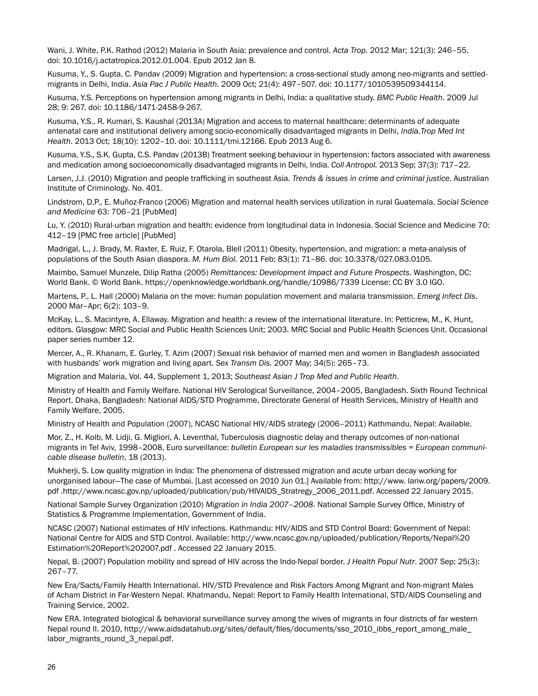Wani, J. White, P.K. Rathod (2012) Malaria in South Asia: prevalence and control. *Acta Trop.* 2012 Mar; 121(3): 246–55. doi: 10.1016/j.actatropica.2012.01.004. Epub 2012 Jan 8.

Kusuma, Y., S. Gupta, C. Pandav (2009) Migration and hypertension: a cross-sectional study among neo-migrants and settledmigrants in Delhi, India. *Asia Pac J Public Health*. 2009 Oct; 21(4): 497–507. doi: 10.1177/1010539509344114.

Kusuma, Y.S. Perceptions on hypertension among migrants in Delhi, India: a qualitative study. *BMC Public Health*. 2009 Jul 28; 9: 267. doi: 10.1186/1471-2458-9-267.

Kusuma, Y.S., R. Kumari, S. Kaushal (2013A) Migration and access to maternal healthcare: determinants of adequate antenatal care and institutional delivery among socio-economically disadvantaged migrants in Delhi, *India.Trop Med Int Health*. 2013 Oct; 18(10): 1202–10. doi: 10.1111/tmi.12166. Epub 2013 Aug 6.

Kusuma, Y.S., S.K. Gupta, C.S. Pandav (2013B) Treatment seeking behaviour in hypertension: factors associated with awareness and medication among socioeconomically disadvantaged migrants in Delhi, India. *Coll Antropol.* 2013 Sep; 37(3): 717–22.

Larsen, J.J. (2010) Migration and people trafficking in southeast Asia. *Trends & issues in crime and criminal justice*. Australian Institute of Criminology. No. 401.

Lindstrom, D.P., E. Muñoz-Franco (2006) Migration and maternal health services utilization in rural Guatemala. *Social Science and Medicine* 63: 706–21 [PubMed]

Lu, Y. (2010) Rural-urban migration and health: evidence from longitudinal data in Indonesia. Social Science and Medicine 70: 412–19 [PMC free article] [PubMed]

Madrigal, L., J. Brady, M. Raxter, E. Ruiz, F. Otarola, Blell (2011) Obesity, hypertension, and migration: a meta-analysis of populations of the South Asian diaspora. *M. Hum Biol.* 2011 Feb; 83(1): 71–86. doi: 10.3378/027.083.0105.

Maimbo, Samuel Munzele, Dilip Ratha (2005) *Remittances: Development Impact and Future Prospects.* Washington, DC: World Bank. © World Bank. https://openknowledge.worldbank.org/handle/10986/7339 License: CC BY 3.0 IGO.

Martens, P., L. Hall (2000) Malaria on the move: human population movement and malaria transmission. *Emerg Infect Dis*. 2000 Mar–Apr; 6(2): 103–9.

McKay, L., S. Macintyre, A. Ellaway. Migration and health: a review of the international literature. In: Petticrew, M., K. Hunt, editors. Glasgow: MRC Social and Public Health Sciences Unit; 2003. MRC Social and Public Health Sciences Unit. Occasional paper series number 12.

Mercer, A., R. Khanam, E. Gurley, T. Azim (2007) Sexual risk behavior of married men and women in Bangladesh associated with husbands' work migration and living apart. *Sex Transm Dis.* 2007 May; 34(5): 265–73.

Migration and Malaria, Vol. 44, Supplement 1, 2013; *Southeast Asian J Trop Med and Public Health*.

Ministry of Health and Family Welfare. National HIV Serological Surveillance, 2004–2005, Bangladesh. Sixth Round Technical Report. Dhaka, Bangladesh: National AIDS/STD Programme, Directorate General of Health Services, Ministry of Health and Family Welfare, 2005.

Ministry of Health and Population (2007), NCASC National HIV/AIDS strategy (2006–2011) Kathmandu, Nepal: Available.

Mor, Z., H. Kolb, M. Lidji, G. Migliori, A. Leventhal, Tuberculosis diagnostic delay and therapy outcomes of non-national migrants in Tel Aviv, 1998–2008, Euro surveillance: *bulletin European sur les maladies transmissibles = European communicable disease bulletin*, 18 (2013).

Mukherji, S. Low quality migration in India: The phenomena of distressed migration and acute urban decay working for unorganised labour—The case of Mumbai. [Last accessed on 2010 Jun 01.] Available from: http://www. Iariw.org/papers/2009. pdf .http://www.ncasc.gov.np/uploaded/publication/pub/HIVAIDS\_Stratregy\_2006\_2011.pdf. Accessed 22 January 2015.

National Sample Survey Organization (2010) *Migration in India 2007–2008*. National Sample Survey Office, Ministry of Statistics & Programme Implementation, Government of India.

NCASC (2007) National estimates of HIV infections. Kathmandu: HIV/AIDS and STD Control Board: Government of Nepal: National Centre for AIDS and STD Control. Available: http://www.ncasc.gov.np/uploaded/publication/Reports/Nepal%20 Estimation%20Report%202007.pdf . Accessed 22 January 2015.

Nepal, B. (2007) Population mobility and spread of HIV across the Indo-Nepal border. *J Health Popul Nutr*. 2007 Sep; 25(3): 267–77.

New Era/Sacts/Family Health International. HIV/STD Prevalence and Risk Factors Among Migrant and Non-migrant Males of Acham District in Far-Western Nepal. Khatmandu, Nepal: Report to Family Health International, STD/AIDS Counseling and Training Service, 2002.

New ERA. Integrated biological & behavioral surveillance survey among the wives of migrants in four districts of far western Nepal round II. 2010, http://www.aidsdatahub.org/sites/default/files/documents/sso\_2010\_ibbs\_report\_among\_male\_ labor\_migrants\_round\_3\_nepal.pdf.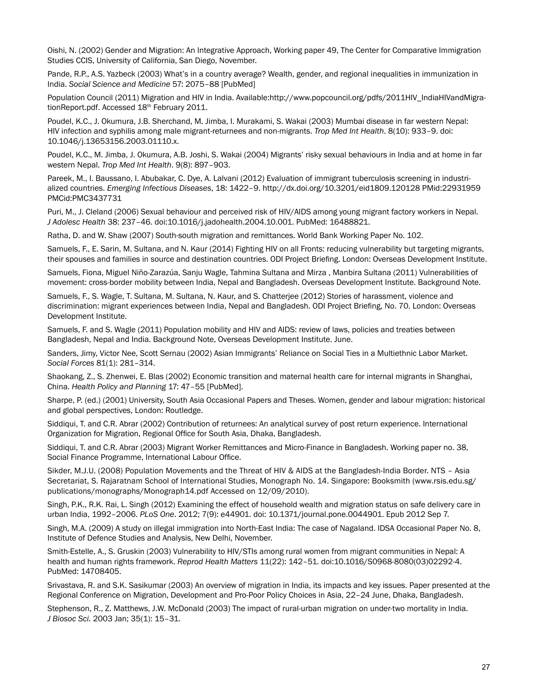Oishi, N. (2002) Gender and Migration: An Integrative Approach, Working paper 49, The Center for Comparative Immigration Studies CCIS, University of California, San Diego, November.

Pande, R.P., A.S. Yazbeck (2003) What's in a country average? Wealth, gender, and regional inequalities in immunization in India. *Social Science and Medicine* 57: 2075–88 [PubMed]

Population Council (2011) Migration and HIV in India. Available:http://www.popcouncil.org/pdfs/2011HIV\_IndiaHIVandMigrationReport.pdf. Accessed 18<sup>th</sup> February 2011.

Poudel, K.C., J. Okumura, J.B. Sherchand, M. Jimba, I. Murakami, S. Wakai (2003) Mumbai disease in far western Nepal: HIV infection and syphilis among male migrant-returnees and non-migrants. *Trop Med Int Health*. 8(10): 933–9. doi: 10.1046/j.13653156.2003.01110.x.

Poudel, K.C., M. Jimba, J. Okumura, A.B. Joshi, S. Wakai (2004) Migrants' risky sexual behaviours in India and at home in far western Nepal. *Trop Med Int Health*. 9(8): 897–903.

Pareek, M., I. Baussano, I. Abubakar, C. Dye, A. Lalvani (2012) Evaluation of immigrant tuberculosis screening in industrialized countries. *Emerging Infectious Diseases*, 18: 1422–9. http://dx.doi.org/10.3201/eid1809.120128 PMid:22931959 PMCid:PMC3437731

Puri, M., J. Cleland (2006) Sexual behaviour and perceived risk of HIV/AIDS among young migrant factory workers in Nepal. *J Adolesc Health* 38: 237–46. doi:10.1016/j.jadohealth.2004.10.001. PubMed: 16488821.

Ratha, D. and W. Shaw (2007) South-south migration and remittances. World Bank Working Paper No. 102.

Samuels, F., E. Sarin, M. Sultana, and N. Kaur (2014) Fighting HIV on all Fronts: reducing vulnerability but targeting migrants, their spouses and families in source and destination countries. ODI Project Briefing. London: Overseas Development Institute.

Samuels, Fiona, Miguel Niño-Zarazúa, Sanju Wagle, Tahmina Sultana and Mirza , Manbira Sultana (2011) Vulnerabilities of movement: cross-border mobility between India, Nepal and Bangladesh. Overseas Development Institute. Background Note.

Samuels, F., S. Wagle, T. Sultana, M. Sultana, N. Kaur, and S. Chatterjee (2012) Stories of harassment, violence and discrimination: migrant experiences between India, Nepal and Bangladesh. ODI Project Briefing, No. 70. London: Overseas Development Institute.

Samuels, F. and S. Wagle (2011) Population mobility and HIV and AIDS: review of laws, policies and treaties between Bangladesh, Nepal and India. Background Note, Overseas Development Institute. June.

Sanders, Jimy, Victor Nee, Scott Sernau (2002) Asian Immigrants' Reliance on Social Ties in a Multiethnic Labor Market. *Social Forces* 81(1): 281–314.

Shaokang, Z., S. Zhenwei, E. Blas (2002) Economic transition and maternal health care for internal migrants in Shanghai, China. *Health Policy and Planning* 17: 47–55 [PubMed].

Sharpe, P. (ed.) (2001) University, South Asia Occasional Papers and Theses. Women, gender and labour migration: historical and global perspectives, London: Routledge.

Siddiqui, T. and C.R. Abrar (2002) Contribution of returnees: An analytical survey of post return experience. International Organization for Migration, Regional Office for South Asia, Dhaka, Bangladesh.

Siddiqui, T. and C.R. Abrar (2003) Migrant Worker Remittances and Micro-Finance in Bangladesh. Working paper no. 38, Social Finance Programme, International Labour Office.

Sikder, M.J.U. (2008) Population Movements and the Threat of HIV & AIDS at the Bangladesh-India Border. NTS – Asia Secretariat, S. Rajaratnam School of International Studies, Monograph No. 14. Singapore: Booksmith (www.rsis.edu.sg/ publications/monographs/Monograph14.pdf Accessed on 12/09/2010).

Singh, P.K., R.K. Rai, L. Singh (2012) Examining the effect of household wealth and migration status on safe delivery care in urban India, 1992–2006. *PLoS One*. 2012; 7(9): e44901. doi: 10.1371/journal.pone.0044901. Epub 2012 Sep 7.

Singh, M.A. (2009) A study on illegal immigration into North-East India: The case of Nagaland. IDSA Occasional Paper No. 8, Institute of Defence Studies and Analysis, New Delhi, November.

Smith-Estelle, A., S. Gruskin (2003) Vulnerability to HIV/STIs among rural women from migrant communities in Nepal: A health and human rights framework. *Reprod Health Matters* 11(22): 142–51. doi:10.1016/S0968-8080(03)02292-4. PubMed: 14708405.

Srivastava, R. and S.K. Sasikumar (2003) An overview of migration in India, its impacts and key issues. Paper presented at the Regional Conference on Migration, Development and Pro-Poor Policy Choices in Asia, 22–24 June, Dhaka, Bangladesh.

Stephenson, R., Z. Matthews, J.W. McDonald (2003) The impact of rural-urban migration on under-two mortality in India. *J Biosoc Sci.* 2003 Jan; 35(1): 15–31.